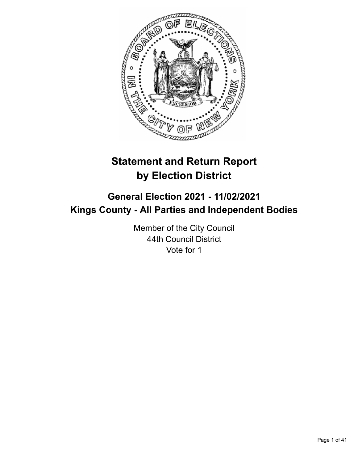

# **Statement and Return Report by Election District**

# **General Election 2021 - 11/02/2021 Kings County - All Parties and Independent Bodies**

Member of the City Council 44th Council District Vote for 1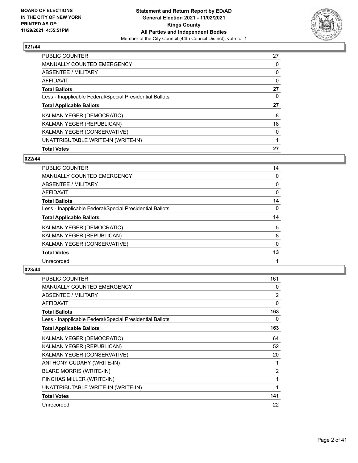

| PUBLIC COUNTER                                           | 27       |
|----------------------------------------------------------|----------|
| <b>MANUALLY COUNTED EMERGENCY</b>                        | 0        |
| ABSENTEE / MILITARY                                      | 0        |
| AFFIDAVIT                                                | $\Omega$ |
| <b>Total Ballots</b>                                     | 27       |
| Less - Inapplicable Federal/Special Presidential Ballots | 0        |
| <b>Total Applicable Ballots</b>                          | 27       |
| KALMAN YEGER (DEMOCRATIC)                                | 8        |
| KALMAN YEGER (REPUBLICAN)                                | 18       |
| KALMAN YEGER (CONSERVATIVE)                              | $\Omega$ |
|                                                          |          |
| UNATTRIBUTABLE WRITE-IN (WRITE-IN)                       |          |

## **022/44**

| <b>PUBLIC COUNTER</b>                                    | 14       |
|----------------------------------------------------------|----------|
| MANUALLY COUNTED EMERGENCY                               | 0        |
| ABSENTEE / MILITARY                                      | 0        |
| AFFIDAVIT                                                | 0        |
| <b>Total Ballots</b>                                     | 14       |
| Less - Inapplicable Federal/Special Presidential Ballots | $\Omega$ |
| <b>Total Applicable Ballots</b>                          | 14       |
| KALMAN YEGER (DEMOCRATIC)                                | 5        |
| KALMAN YEGER (REPUBLICAN)                                | 8        |
| KALMAN YEGER (CONSERVATIVE)                              | 0        |
| <b>Total Votes</b>                                       | 13       |
| Unrecorded                                               |          |

| <b>PUBLIC COUNTER</b>                                    | 161 |
|----------------------------------------------------------|-----|
| <b>MANUALLY COUNTED EMERGENCY</b>                        | 0   |
| ABSENTEE / MILITARY                                      | 2   |
| <b>AFFIDAVIT</b>                                         | 0   |
| <b>Total Ballots</b>                                     | 163 |
| Less - Inapplicable Federal/Special Presidential Ballots | 0   |
| <b>Total Applicable Ballots</b>                          | 163 |
| KALMAN YEGER (DEMOCRATIC)                                | 64  |
| KALMAN YEGER (REPUBLICAN)                                | 52  |
| KALMAN YEGER (CONSERVATIVE)                              | 20  |
| ANTHONY CUDAHY (WRITE-IN)                                | 1   |
| <b>BLARE MORRIS (WRITE-IN)</b>                           | 2   |
| PINCHAS MILLER (WRITE-IN)                                | 1   |
| UNATTRIBUTABLE WRITE-IN (WRITE-IN)                       | 1   |
| <b>Total Votes</b>                                       | 141 |
| Unrecorded                                               | 22  |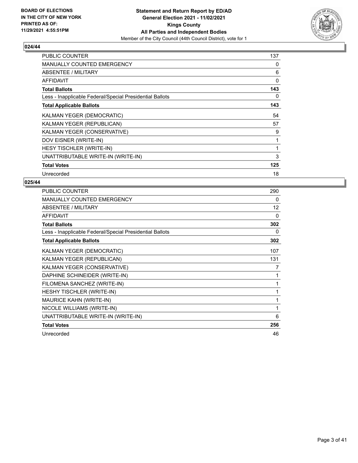

| <b>PUBLIC COUNTER</b>                                    | 137 |
|----------------------------------------------------------|-----|
| <b>MANUALLY COUNTED EMERGENCY</b>                        | 0   |
| ABSENTEE / MILITARY                                      | 6   |
| AFFIDAVIT                                                | 0   |
| <b>Total Ballots</b>                                     | 143 |
| Less - Inapplicable Federal/Special Presidential Ballots | 0   |
| <b>Total Applicable Ballots</b>                          | 143 |
| KALMAN YEGER (DEMOCRATIC)                                | 54  |
| KALMAN YEGER (REPUBLICAN)                                | 57  |
| KALMAN YEGER (CONSERVATIVE)                              | 9   |
| DOV EISNER (WRITE-IN)                                    | 1   |
| HESY TISCHLER (WRITE-IN)                                 | 1   |
| UNATTRIBUTABLE WRITE-IN (WRITE-IN)                       | 3   |
| <b>Total Votes</b>                                       | 125 |
| Unrecorded                                               | 18  |

| PUBLIC COUNTER                                           | 290 |
|----------------------------------------------------------|-----|
| MANUALLY COUNTED EMERGENCY                               | 0   |
| ABSENTEE / MILITARY                                      | 12  |
| <b>AFFIDAVIT</b>                                         | 0   |
| <b>Total Ballots</b>                                     | 302 |
| Less - Inapplicable Federal/Special Presidential Ballots | 0   |
| <b>Total Applicable Ballots</b>                          | 302 |
| KALMAN YEGER (DEMOCRATIC)                                | 107 |
| KALMAN YEGER (REPUBLICAN)                                | 131 |
| KALMAN YEGER (CONSERVATIVE)                              | 7   |
| DAPHINE SCHINEIDER (WRITE-IN)                            | 1   |
| FILOMENA SANCHEZ (WRITE-IN)                              | 1   |
| HESHY TISCHLER (WRITE-IN)                                | 1   |
| MAURICE KAHN (WRITE-IN)                                  | 1   |
| NICOLE WILLIAMS (WRITE-IN)                               | 1   |
| UNATTRIBUTABLE WRITE-IN (WRITE-IN)                       | 6   |
| <b>Total Votes</b>                                       | 256 |
| Unrecorded                                               | 46  |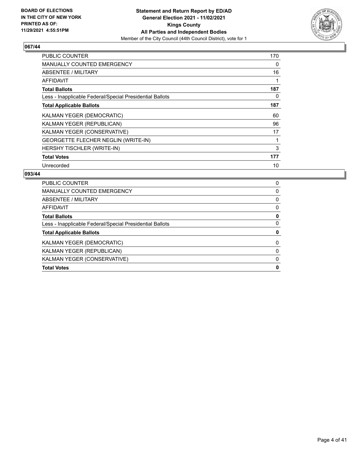

| <b>PUBLIC COUNTER</b>                                    | 170 |
|----------------------------------------------------------|-----|
| <b>MANUALLY COUNTED EMERGENCY</b>                        | 0   |
| ABSENTEE / MILITARY                                      | 16  |
| AFFIDAVIT                                                |     |
| <b>Total Ballots</b>                                     | 187 |
| Less - Inapplicable Federal/Special Presidential Ballots | 0   |
| <b>Total Applicable Ballots</b>                          | 187 |
| KALMAN YEGER (DEMOCRATIC)                                | 60  |
| KALMAN YEGER (REPUBLICAN)                                | 96  |
| KALMAN YEGER (CONSERVATIVE)                              | 17  |
| GEORGETTE FLECHER NEGLIN (WRITE-IN)                      |     |
| HERSHY TISCHLER (WRITE-IN)                               | 3   |
| <b>Total Votes</b>                                       | 177 |
| Unrecorded                                               | 10  |

| <b>Total Votes</b>                                       | 0 |
|----------------------------------------------------------|---|
| KALMAN YEGER (CONSERVATIVE)                              | 0 |
| KALMAN YEGER (REPUBLICAN)                                | 0 |
| KALMAN YEGER (DEMOCRATIC)                                | 0 |
| <b>Total Applicable Ballots</b>                          | 0 |
| Less - Inapplicable Federal/Special Presidential Ballots | 0 |
| <b>Total Ballots</b>                                     | 0 |
| AFFIDAVIT                                                | 0 |
| ABSENTEE / MILITARY                                      | 0 |
| <b>MANUALLY COUNTED EMERGENCY</b>                        | 0 |
| <b>PUBLIC COUNTER</b>                                    | 0 |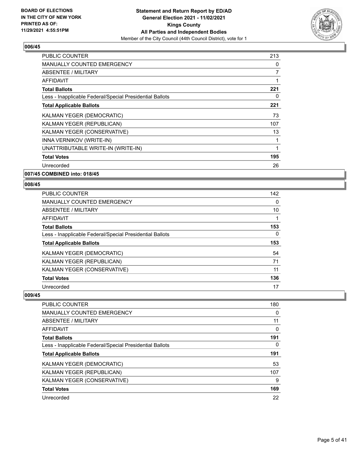

| <b>PUBLIC COUNTER</b>                                    | 213 |
|----------------------------------------------------------|-----|
| <b>MANUALLY COUNTED EMERGENCY</b>                        | 0   |
| <b>ABSENTEE / MILITARY</b>                               | 7   |
| <b>AFFIDAVIT</b>                                         | 1   |
| <b>Total Ballots</b>                                     | 221 |
| Less - Inapplicable Federal/Special Presidential Ballots | 0   |
| <b>Total Applicable Ballots</b>                          | 221 |
| <b>KALMAN YEGER (DEMOCRATIC)</b>                         | 73  |
| KALMAN YEGER (REPUBLICAN)                                | 107 |
| KALMAN YEGER (CONSERVATIVE)                              | 13  |
| INNA VERNIKOV (WRITE-IN)                                 |     |
| UNATTRIBUTABLE WRITE-IN (WRITE-IN)                       | 1   |
| <b>Total Votes</b>                                       | 195 |
| Unrecorded                                               | 26  |
|                                                          |     |

**007/45 COMBINED into: 018/45**

## **008/45**

| PUBLIC COUNTER                                           | 142 |
|----------------------------------------------------------|-----|
| <b>MANUALLY COUNTED EMERGENCY</b>                        | 0   |
| ABSENTEE / MILITARY                                      | 10  |
| <b>AFFIDAVIT</b>                                         |     |
| <b>Total Ballots</b>                                     | 153 |
| Less - Inapplicable Federal/Special Presidential Ballots | 0   |
| <b>Total Applicable Ballots</b>                          | 153 |
| <b>KALMAN YEGER (DEMOCRATIC)</b>                         | 54  |
| KALMAN YEGER (REPUBLICAN)                                | 71  |
| KALMAN YEGER (CONSERVATIVE)                              | 11  |
| <b>Total Votes</b>                                       | 136 |
| Unrecorded                                               | 17  |

| <b>PUBLIC COUNTER</b>                                    | 180 |
|----------------------------------------------------------|-----|
| <b>MANUALLY COUNTED EMERGENCY</b>                        | 0   |
| <b>ABSENTEE / MILITARY</b>                               | 11  |
| AFFIDAVIT                                                | 0   |
| <b>Total Ballots</b>                                     | 191 |
| Less - Inapplicable Federal/Special Presidential Ballots | 0   |
| <b>Total Applicable Ballots</b>                          | 191 |
| KALMAN YEGER (DEMOCRATIC)                                | 53  |
| KALMAN YEGER (REPUBLICAN)                                | 107 |
| KALMAN YEGER (CONSERVATIVE)                              | 9   |
| <b>Total Votes</b>                                       | 169 |
| Unrecorded                                               | 22  |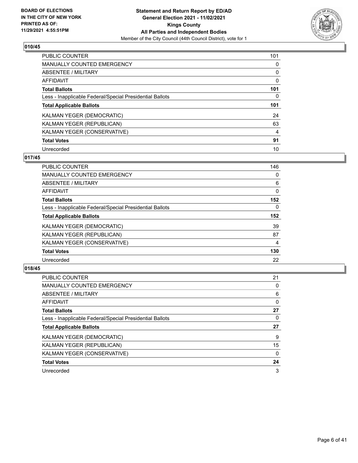

| <b>PUBLIC COUNTER</b>                                    | 101 |
|----------------------------------------------------------|-----|
| <b>MANUALLY COUNTED EMERGENCY</b>                        | 0   |
| ABSENTEE / MILITARY                                      | 0   |
| <b>AFFIDAVIT</b>                                         | 0   |
| <b>Total Ballots</b>                                     | 101 |
| Less - Inapplicable Federal/Special Presidential Ballots | 0   |
| <b>Total Applicable Ballots</b>                          | 101 |
| KALMAN YEGER (DEMOCRATIC)                                | 24  |
| KALMAN YEGER (REPUBLICAN)                                | 63  |
| KALMAN YEGER (CONSERVATIVE)                              | 4   |
| <b>Total Votes</b>                                       | 91  |
| Unrecorded                                               | 10  |

#### **017/45**

| <b>PUBLIC COUNTER</b>                                    | 146      |
|----------------------------------------------------------|----------|
| <b>MANUALLY COUNTED EMERGENCY</b>                        | 0        |
| ABSENTEE / MILITARY                                      | 6        |
| <b>AFFIDAVIT</b>                                         | 0        |
| <b>Total Ballots</b>                                     | 152      |
| Less - Inapplicable Federal/Special Presidential Ballots | $\Omega$ |
| <b>Total Applicable Ballots</b>                          | 152      |
| KALMAN YEGER (DEMOCRATIC)                                | 39       |
| KALMAN YEGER (REPUBLICAN)                                | 87       |
| KALMAN YEGER (CONSERVATIVE)                              | 4        |
| <b>Total Votes</b>                                       | 130      |
| Unrecorded                                               | 22       |

| <b>PUBLIC COUNTER</b>                                    | 21       |
|----------------------------------------------------------|----------|
| <b>MANUALLY COUNTED EMERGENCY</b>                        | $\Omega$ |
| ABSENTEE / MILITARY                                      | 6        |
| <b>AFFIDAVIT</b>                                         | 0        |
| <b>Total Ballots</b>                                     | 27       |
| Less - Inapplicable Federal/Special Presidential Ballots | 0        |
| <b>Total Applicable Ballots</b>                          | 27       |
| KALMAN YEGER (DEMOCRATIC)                                | 9        |
| KALMAN YEGER (REPUBLICAN)                                | 15       |
| KALMAN YEGER (CONSERVATIVE)                              | $\Omega$ |
| <b>Total Votes</b>                                       | 24       |
| Unrecorded                                               | 3        |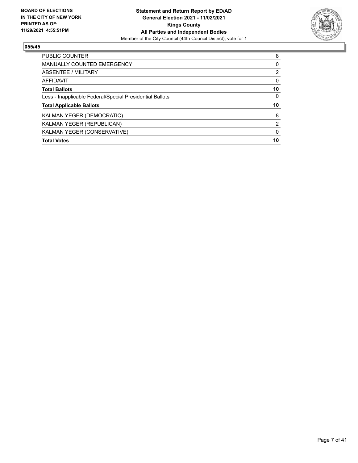

| <b>Total Votes</b>                                       | 10            |
|----------------------------------------------------------|---------------|
| KALMAN YEGER (CONSERVATIVE)                              | $\Omega$      |
| KALMAN YEGER (REPUBLICAN)                                | $\mathcal{P}$ |
| KALMAN YEGER (DEMOCRATIC)                                | 8             |
| <b>Total Applicable Ballots</b>                          | 10            |
| Less - Inapplicable Federal/Special Presidential Ballots | $\Omega$      |
| <b>Total Ballots</b>                                     | 10            |
| <b>AFFIDAVIT</b>                                         | 0             |
| ABSENTEE / MILITARY                                      | 2             |
| <b>MANUALLY COUNTED EMERGENCY</b>                        | 0             |
| <b>PUBLIC COUNTER</b>                                    | 8             |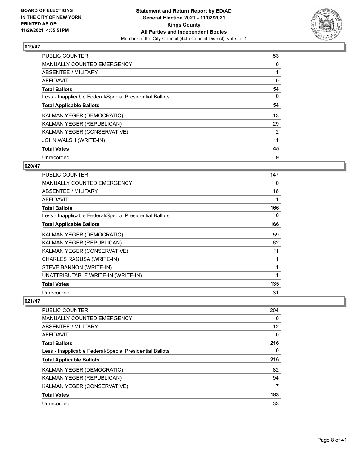

| <b>PUBLIC COUNTER</b>                                    | 53             |
|----------------------------------------------------------|----------------|
| <b>MANUALLY COUNTED EMERGENCY</b>                        | 0              |
| ABSENTEE / MILITARY                                      |                |
| AFFIDAVIT                                                | 0              |
| <b>Total Ballots</b>                                     | 54             |
| Less - Inapplicable Federal/Special Presidential Ballots | 0              |
| <b>Total Applicable Ballots</b>                          | 54             |
| KALMAN YEGER (DEMOCRATIC)                                | 13             |
| KALMAN YEGER (REPUBLICAN)                                | 29             |
| KALMAN YEGER (CONSERVATIVE)                              | $\overline{2}$ |
| JOHN WALSH (WRITE-IN)                                    |                |
| <b>Total Votes</b>                                       | 45             |
| Unrecorded                                               | 9              |

# **020/47**

| <b>PUBLIC COUNTER</b>                                    | 147         |
|----------------------------------------------------------|-------------|
| <b>MANUALLY COUNTED EMERGENCY</b>                        | 0           |
| <b>ABSENTEE / MILITARY</b>                               | 18          |
| <b>AFFIDAVIT</b>                                         |             |
| <b>Total Ballots</b>                                     | 166         |
| Less - Inapplicable Federal/Special Presidential Ballots | 0           |
| <b>Total Applicable Ballots</b>                          | 166         |
| KALMAN YEGER (DEMOCRATIC)                                | 59          |
| KALMAN YEGER (REPUBLICAN)                                | 62          |
| KALMAN YEGER (CONSERVATIVE)                              | 11          |
| CHARLES RAGUSA (WRITE-IN)                                |             |
| STEVE BANNON (WRITE-IN)                                  |             |
| UNATTRIBUTABLE WRITE-IN (WRITE-IN)                       | $\mathbf 1$ |
| <b>Total Votes</b>                                       | 135         |
| Unrecorded                                               | 31          |

| <b>PUBLIC COUNTER</b>                                    | 204      |
|----------------------------------------------------------|----------|
| MANUALLY COUNTED EMERGENCY                               | 0        |
| ABSENTEE / MILITARY                                      | 12       |
| AFFIDAVIT                                                | $\Omega$ |
| <b>Total Ballots</b>                                     | 216      |
| Less - Inapplicable Federal/Special Presidential Ballots | 0        |
| <b>Total Applicable Ballots</b>                          | 216      |
| <b>KALMAN YEGER (DEMOCRATIC)</b>                         | 82       |
| KALMAN YEGER (REPUBLICAN)                                | 94       |
| KALMAN YEGER (CONSERVATIVE)                              | 7        |
| <b>Total Votes</b>                                       | 183      |
| Unrecorded                                               | 33       |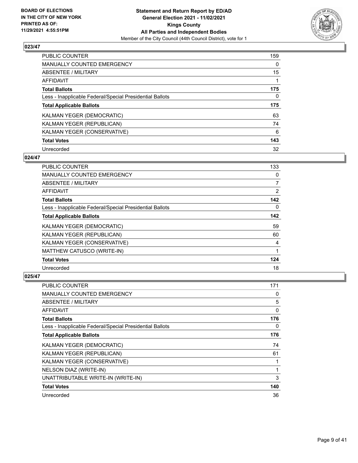

| <b>PUBLIC COUNTER</b>                                    | 159      |
|----------------------------------------------------------|----------|
| <b>MANUALLY COUNTED EMERGENCY</b>                        | $\Omega$ |
| ABSENTEE / MILITARY                                      | 15       |
| <b>AFFIDAVIT</b>                                         |          |
| <b>Total Ballots</b>                                     | 175      |
| Less - Inapplicable Federal/Special Presidential Ballots | 0        |
| <b>Total Applicable Ballots</b>                          | 175      |
| KALMAN YEGER (DEMOCRATIC)                                | 63       |
| KALMAN YEGER (REPUBLICAN)                                | 74       |
| KALMAN YEGER (CONSERVATIVE)                              | 6        |
| <b>Total Votes</b>                                       | 143      |
| Unrecorded                                               | 32       |

#### **024/47**

| PUBLIC COUNTER                                           | 133            |
|----------------------------------------------------------|----------------|
| <b>MANUALLY COUNTED EMERGENCY</b>                        | 0              |
| ABSENTEE / MILITARY                                      | $\overline{7}$ |
| AFFIDAVIT                                                | 2              |
| <b>Total Ballots</b>                                     | 142            |
| Less - Inapplicable Federal/Special Presidential Ballots | $\Omega$       |
| <b>Total Applicable Ballots</b>                          | 142            |
| KALMAN YEGER (DEMOCRATIC)                                | 59             |
| KALMAN YEGER (REPUBLICAN)                                | 60             |
| KALMAN YEGER (CONSERVATIVE)                              | 4              |
| MATTHEW CATUSCO (WRITE-IN)                               | 1              |
| <b>Total Votes</b>                                       | 124            |
| Unrecorded                                               | 18             |

| PUBLIC COUNTER                                           | 171 |
|----------------------------------------------------------|-----|
| MANUALLY COUNTED EMERGENCY                               | 0   |
| ABSENTEE / MILITARY                                      | 5   |
| AFFIDAVIT                                                | 0   |
| <b>Total Ballots</b>                                     | 176 |
| Less - Inapplicable Federal/Special Presidential Ballots | 0   |
| <b>Total Applicable Ballots</b>                          | 176 |
| KALMAN YEGER (DEMOCRATIC)                                | 74  |
| KALMAN YEGER (REPUBLICAN)                                | 61  |
| KALMAN YEGER (CONSERVATIVE)                              |     |
| NELSON DIAZ (WRITE-IN)                                   | 1   |
| UNATTRIBUTABLE WRITE-IN (WRITE-IN)                       | 3   |
| <b>Total Votes</b>                                       | 140 |
| Unrecorded                                               | 36  |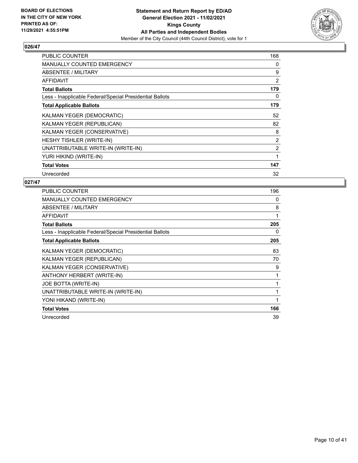

| <b>PUBLIC COUNTER</b>                                    | 168            |
|----------------------------------------------------------|----------------|
| <b>MANUALLY COUNTED EMERGENCY</b>                        | 0              |
| ABSENTEE / MILITARY                                      | 9              |
| AFFIDAVIT                                                | 2              |
| <b>Total Ballots</b>                                     | 179            |
| Less - Inapplicable Federal/Special Presidential Ballots | 0              |
| <b>Total Applicable Ballots</b>                          | 179            |
| KALMAN YEGER (DEMOCRATIC)                                | 52             |
| KALMAN YEGER (REPUBLICAN)                                | 82             |
| KALMAN YEGER (CONSERVATIVE)                              | 8              |
| HESHY TISHLER (WRITE-IN)                                 | $\overline{2}$ |
| UNATTRIBUTABLE WRITE-IN (WRITE-IN)                       | $\overline{2}$ |
| YURI HIKIND (WRITE-IN)                                   | 1              |
| <b>Total Votes</b>                                       | 147            |
| Unrecorded                                               | 32             |

| <b>PUBLIC COUNTER</b>                                    | 196 |
|----------------------------------------------------------|-----|
| <b>MANUALLY COUNTED EMERGENCY</b>                        | 0   |
| ABSENTEE / MILITARY                                      | 8   |
| <b>AFFIDAVIT</b>                                         | 1   |
| <b>Total Ballots</b>                                     | 205 |
| Less - Inapplicable Federal/Special Presidential Ballots | 0   |
| <b>Total Applicable Ballots</b>                          | 205 |
| KALMAN YEGER (DEMOCRATIC)                                | 83  |
| KALMAN YEGER (REPUBLICAN)                                | 70  |
| KALMAN YEGER (CONSERVATIVE)                              | 9   |
| ANTHONY HERBERT (WRITE-IN)                               | 1   |
| JOE BOTTA (WRITE-IN)                                     | 1   |
| UNATTRIBUTABLE WRITE-IN (WRITE-IN)                       | 1   |
| YONI HIKAND (WRITE-IN)                                   | 1   |
| <b>Total Votes</b>                                       | 166 |
| Unrecorded                                               | 39  |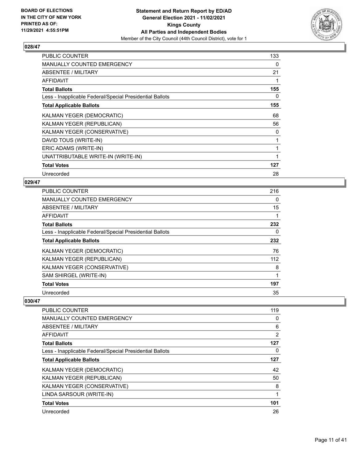

| <b>PUBLIC COUNTER</b>                                    | 133 |
|----------------------------------------------------------|-----|
| <b>MANUALLY COUNTED EMERGENCY</b>                        | 0   |
| ABSENTEE / MILITARY                                      | 21  |
| <b>AFFIDAVIT</b>                                         |     |
| <b>Total Ballots</b>                                     | 155 |
| Less - Inapplicable Federal/Special Presidential Ballots | 0   |
| <b>Total Applicable Ballots</b>                          | 155 |
| KALMAN YEGER (DEMOCRATIC)                                | 68  |
| KALMAN YEGER (REPUBLICAN)                                | 56  |
| KALMAN YEGER (CONSERVATIVE)                              | 0   |
| DAVID TOUS (WRITE-IN)                                    |     |
| ERIC ADAMS (WRITE-IN)                                    | 1   |
| UNATTRIBUTABLE WRITE-IN (WRITE-IN)                       | 1   |
| <b>Total Votes</b>                                       | 127 |
| Unrecorded                                               | 28  |

## **029/47**

| <b>PUBLIC COUNTER</b>                                    | 216 |
|----------------------------------------------------------|-----|
| MANUALLY COUNTED EMERGENCY                               | 0   |
| ABSENTEE / MILITARY                                      | 15  |
| AFFIDAVIT                                                | 1   |
| <b>Total Ballots</b>                                     | 232 |
| Less - Inapplicable Federal/Special Presidential Ballots | 0   |
| <b>Total Applicable Ballots</b>                          | 232 |
| KALMAN YEGER (DEMOCRATIC)                                | 76  |
| KALMAN YEGER (REPUBLICAN)                                | 112 |
| KALMAN YEGER (CONSERVATIVE)                              | 8   |
| SAM SHIRGEL (WRITE-IN)                                   | 1   |
| <b>Total Votes</b>                                       | 197 |
| Unrecorded                                               | 35  |

| <b>PUBLIC COUNTER</b>                                    | 119            |
|----------------------------------------------------------|----------------|
| <b>MANUALLY COUNTED EMERGENCY</b>                        | 0              |
| ABSENTEE / MILITARY                                      | 6              |
| <b>AFFIDAVIT</b>                                         | $\overline{2}$ |
| <b>Total Ballots</b>                                     | 127            |
| Less - Inapplicable Federal/Special Presidential Ballots | 0              |
| <b>Total Applicable Ballots</b>                          | 127            |
| KALMAN YEGER (DEMOCRATIC)                                | 42             |
| KALMAN YEGER (REPUBLICAN)                                | 50             |
| KALMAN YEGER (CONSERVATIVE)                              | 8              |
| LINDA SARSOUR (WRITE-IN)                                 | 1              |
| <b>Total Votes</b>                                       | 101            |
| Unrecorded                                               | 26             |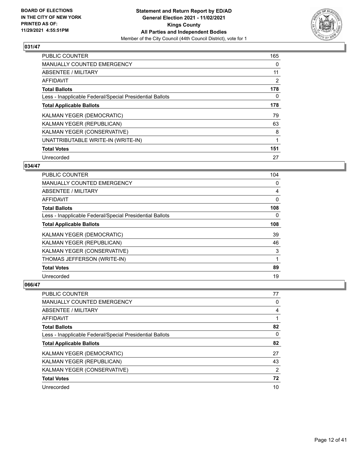

| <b>PUBLIC COUNTER</b>                                    | 165            |
|----------------------------------------------------------|----------------|
| <b>MANUALLY COUNTED EMERGENCY</b>                        | 0              |
| ABSENTEE / MILITARY                                      | 11             |
| <b>AFFIDAVIT</b>                                         | $\overline{2}$ |
| <b>Total Ballots</b>                                     | 178            |
| Less - Inapplicable Federal/Special Presidential Ballots | 0              |
| <b>Total Applicable Ballots</b>                          | 178            |
| KALMAN YEGER (DEMOCRATIC)                                | 79             |
| KALMAN YEGER (REPUBLICAN)                                | 63             |
| KALMAN YEGER (CONSERVATIVE)                              | 8              |
| UNATTRIBUTABLE WRITE-IN (WRITE-IN)                       | 1              |
| <b>Total Votes</b>                                       | 151            |
| Unrecorded                                               | 27             |

# **034/47**

| <b>PUBLIC COUNTER</b>                                    | 104 |
|----------------------------------------------------------|-----|
| MANUALLY COUNTED EMERGENCY                               | 0   |
| ABSENTEE / MILITARY                                      | 4   |
| AFFIDAVIT                                                | 0   |
| <b>Total Ballots</b>                                     | 108 |
| Less - Inapplicable Federal/Special Presidential Ballots | 0   |
| <b>Total Applicable Ballots</b>                          | 108 |
| KALMAN YEGER (DEMOCRATIC)                                | 39  |
| KALMAN YEGER (REPUBLICAN)                                | 46  |
| KALMAN YEGER (CONSERVATIVE)                              | 3   |
| THOMAS JEFFERSON (WRITE-IN)                              | 1   |
| <b>Total Votes</b>                                       | 89  |
| Unrecorded                                               | 19  |

| <b>PUBLIC COUNTER</b>                                    | 77 |
|----------------------------------------------------------|----|
| MANUALLY COUNTED EMERGENCY                               | 0  |
| ABSENTEE / MILITARY                                      | 4  |
| AFFIDAVIT                                                |    |
| <b>Total Ballots</b>                                     | 82 |
| Less - Inapplicable Federal/Special Presidential Ballots | 0  |
| <b>Total Applicable Ballots</b>                          | 82 |
| KALMAN YEGER (DEMOCRATIC)                                | 27 |
| KALMAN YEGER (REPUBLICAN)                                | 43 |
| KALMAN YEGER (CONSERVATIVE)                              | 2  |
| <b>Total Votes</b>                                       | 72 |
| Unrecorded                                               | 10 |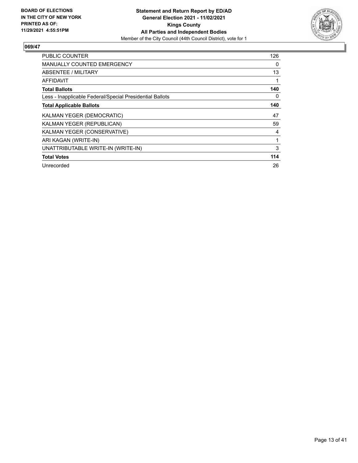

| <b>PUBLIC COUNTER</b>                                    | 126 |
|----------------------------------------------------------|-----|
| <b>MANUALLY COUNTED EMERGENCY</b>                        | 0   |
| ABSENTEE / MILITARY                                      | 13  |
| AFFIDAVIT                                                | 1   |
| <b>Total Ballots</b>                                     | 140 |
| Less - Inapplicable Federal/Special Presidential Ballots | 0   |
| <b>Total Applicable Ballots</b>                          | 140 |
| KALMAN YEGER (DEMOCRATIC)                                | 47  |
| KALMAN YEGER (REPUBLICAN)                                | 59  |
| KALMAN YEGER (CONSERVATIVE)                              | 4   |
| ARI KAGAN (WRITE-IN)                                     | 1   |
| UNATTRIBUTABLE WRITE-IN (WRITE-IN)                       | 3   |
| <b>Total Votes</b>                                       | 114 |
| Unrecorded                                               | 26  |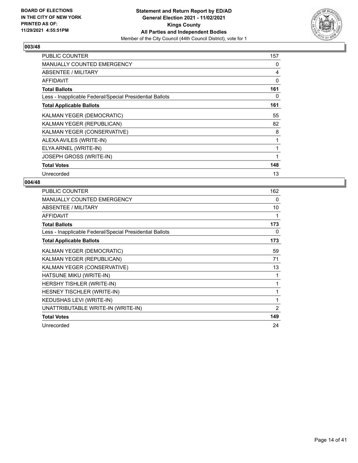

| PUBLIC COUNTER                                           | 157      |
|----------------------------------------------------------|----------|
| <b>MANUALLY COUNTED EMERGENCY</b>                        | 0        |
| ABSENTEE / MILITARY                                      | 4        |
| <b>AFFIDAVIT</b>                                         | $\Omega$ |
| <b>Total Ballots</b>                                     | 161      |
| Less - Inapplicable Federal/Special Presidential Ballots | 0        |
| <b>Total Applicable Ballots</b>                          | 161      |
| KALMAN YEGER (DEMOCRATIC)                                | 55       |
| KALMAN YEGER (REPUBLICAN)                                | 82       |
| KALMAN YEGER (CONSERVATIVE)                              | 8        |
| ALEXA AVILES (WRITE-IN)                                  |          |
| ELYA ARNEL (WRITE-IN)                                    | 1        |
| <b>JOSEPH GROSS (WRITE-IN)</b>                           | 1        |
| <b>Total Votes</b>                                       | 148      |
| Unrecorded                                               | 13       |

| PUBLIC COUNTER                                           | 162            |
|----------------------------------------------------------|----------------|
| <b>MANUALLY COUNTED EMERGENCY</b>                        | 0              |
| ABSENTEE / MILITARY                                      | 10             |
| <b>AFFIDAVIT</b>                                         | 1              |
| <b>Total Ballots</b>                                     | 173            |
| Less - Inapplicable Federal/Special Presidential Ballots | 0              |
| <b>Total Applicable Ballots</b>                          | 173            |
| KALMAN YEGER (DEMOCRATIC)                                | 59             |
| KALMAN YEGER (REPUBLICAN)                                | 71             |
| KALMAN YEGER (CONSERVATIVE)                              | 13             |
| HATSUNE MIKU (WRITE-IN)                                  | 1              |
| HERSHY TISHLER (WRITE-IN)                                | 1              |
| HESNEY TISCHLER (WRITE-IN)                               | 1              |
| KEDUSHAS LEVI (WRITE-IN)                                 | 1              |
| UNATTRIBUTABLE WRITE-IN (WRITE-IN)                       | $\overline{2}$ |
| <b>Total Votes</b>                                       | 149            |
| Unrecorded                                               | 24             |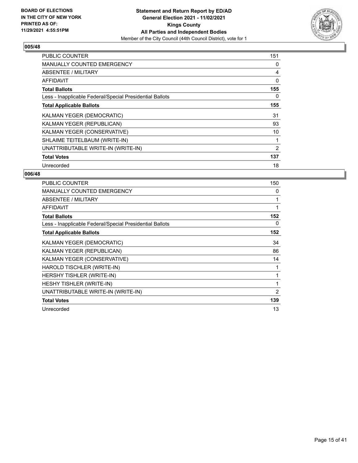

| <b>PUBLIC COUNTER</b>                                    | 151 |
|----------------------------------------------------------|-----|
| <b>MANUALLY COUNTED EMERGENCY</b>                        | 0   |
| ABSENTEE / MILITARY                                      | 4   |
| AFFIDAVIT                                                | 0   |
| <b>Total Ballots</b>                                     | 155 |
| Less - Inapplicable Federal/Special Presidential Ballots | 0   |
| <b>Total Applicable Ballots</b>                          | 155 |
| KALMAN YEGER (DEMOCRATIC)                                | 31  |
| KALMAN YEGER (REPUBLICAN)                                | 93  |
| KALMAN YEGER (CONSERVATIVE)                              | 10  |
| SHLAIME TEITELBAUM (WRITE-IN)                            | 1   |
| UNATTRIBUTABLE WRITE-IN (WRITE-IN)                       | 2   |
| <b>Total Votes</b>                                       | 137 |
| Unrecorded                                               | 18  |

| PUBLIC COUNTER                                           | 150            |
|----------------------------------------------------------|----------------|
| MANUALLY COUNTED EMERGENCY                               | 0              |
| ABSENTEE / MILITARY                                      | 1              |
| <b>AFFIDAVIT</b>                                         | 1              |
| <b>Total Ballots</b>                                     | 152            |
| Less - Inapplicable Federal/Special Presidential Ballots | 0              |
| <b>Total Applicable Ballots</b>                          | 152            |
| KALMAN YEGER (DEMOCRATIC)                                | 34             |
| KALMAN YEGER (REPUBLICAN)                                | 86             |
| KALMAN YEGER (CONSERVATIVE)                              | 14             |
| HAROLD TISCHLER (WRITE-IN)                               |                |
| HERSHY TISHLER (WRITE-IN)                                | 1              |
| <b>HESHY TISHLER (WRITE-IN)</b>                          | 1              |
| UNATTRIBUTABLE WRITE-IN (WRITE-IN)                       | $\overline{2}$ |
| <b>Total Votes</b>                                       | 139            |
| Unrecorded                                               | 13             |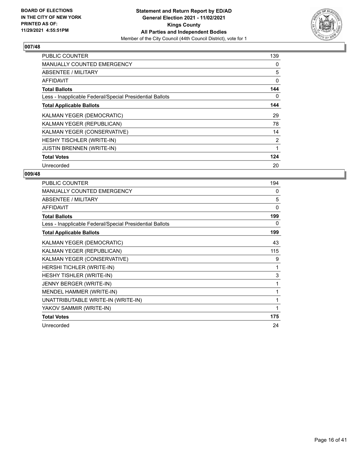

| <b>PUBLIC COUNTER</b>                                    | 139            |
|----------------------------------------------------------|----------------|
| <b>MANUALLY COUNTED EMERGENCY</b>                        | 0              |
| <b>ABSENTEE / MILITARY</b>                               | 5              |
| <b>AFFIDAVIT</b>                                         | 0              |
| <b>Total Ballots</b>                                     | 144            |
| Less - Inapplicable Federal/Special Presidential Ballots | 0              |
| <b>Total Applicable Ballots</b>                          | 144            |
| KALMAN YEGER (DEMOCRATIC)                                | 29             |
| KALMAN YEGER (REPUBLICAN)                                | 78             |
| KALMAN YEGER (CONSERVATIVE)                              | 14             |
| HESHY TISCHLER (WRITE-IN)                                | $\overline{2}$ |
| <b>JUSTIN BRENNEN (WRITE-IN)</b>                         | 1              |
| <b>Total Votes</b>                                       | 124            |
| Unrecorded                                               | 20             |

| PUBLIC COUNTER                                           | 194 |
|----------------------------------------------------------|-----|
| MANUALLY COUNTED EMERGENCY                               | 0   |
| ABSENTEE / MILITARY                                      | 5   |
| <b>AFFIDAVIT</b>                                         | 0   |
| <b>Total Ballots</b>                                     | 199 |
| Less - Inapplicable Federal/Special Presidential Ballots | 0   |
| <b>Total Applicable Ballots</b>                          | 199 |
| KALMAN YEGER (DEMOCRATIC)                                | 43  |
| KALMAN YEGER (REPUBLICAN)                                | 115 |
| KALMAN YEGER (CONSERVATIVE)                              | 9   |
| HERSHI TICHLER (WRITE-IN)                                | 1   |
| HESHY TISHLER (WRITE-IN)                                 | 3   |
| JENNY BERGER (WRITE-IN)                                  | 1   |
| MENDEL HAMMER (WRITE-IN)                                 | 1   |
| UNATTRIBUTABLE WRITE-IN (WRITE-IN)                       | 1   |
| YAKOV SAMMIR (WRITE-IN)                                  | 1   |
| <b>Total Votes</b>                                       | 175 |
| Unrecorded                                               | 24  |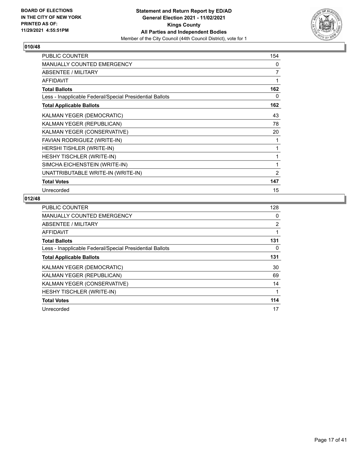

| <b>PUBLIC COUNTER</b>                                    | 154 |
|----------------------------------------------------------|-----|
| MANUALLY COUNTED EMERGENCY                               | 0   |
| <b>ABSENTEE / MILITARY</b>                               | 7   |
| <b>AFFIDAVIT</b>                                         | 1   |
| <b>Total Ballots</b>                                     | 162 |
| Less - Inapplicable Federal/Special Presidential Ballots | 0   |
| <b>Total Applicable Ballots</b>                          | 162 |
| KALMAN YEGER (DEMOCRATIC)                                | 43  |
| KALMAN YEGER (REPUBLICAN)                                | 78  |
| KALMAN YEGER (CONSERVATIVE)                              | 20  |
| FAVIAN RODRIGUEZ (WRITE-IN)                              | 1   |
| HERSHI TISHLER (WRITE-IN)                                | 1   |
| <b>HESHY TISCHLER (WRITE-IN)</b>                         | 1   |
| SIMCHA EICHENSTEIN (WRITE-IN)                            | 1   |
| UNATTRIBUTABLE WRITE-IN (WRITE-IN)                       | 2   |
| <b>Total Votes</b>                                       | 147 |
| Unrecorded                                               | 15  |

| PUBLIC COUNTER                                           | 128 |
|----------------------------------------------------------|-----|
| <b>MANUALLY COUNTED EMERGENCY</b>                        | 0   |
| ABSENTEE / MILITARY                                      | 2   |
| AFFIDAVIT                                                |     |
| <b>Total Ballots</b>                                     | 131 |
| Less - Inapplicable Federal/Special Presidential Ballots | 0   |
| <b>Total Applicable Ballots</b>                          | 131 |
| KALMAN YEGER (DEMOCRATIC)                                | 30  |
| KALMAN YEGER (REPUBLICAN)                                | 69  |
| KALMAN YEGER (CONSERVATIVE)                              | 14  |
| HESHY TISCHLER (WRITE-IN)                                | 1   |
| <b>Total Votes</b>                                       | 114 |
| Unrecorded                                               | 17  |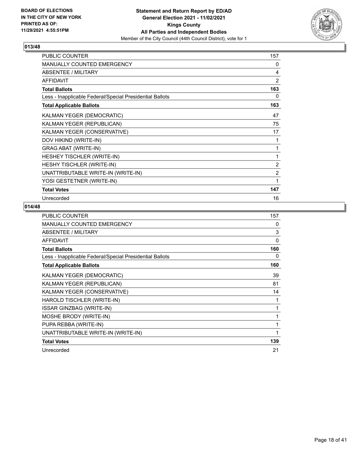

| <b>PUBLIC COUNTER</b>                                    | 157            |
|----------------------------------------------------------|----------------|
| <b>MANUALLY COUNTED EMERGENCY</b>                        | 0              |
| <b>ABSENTEE / MILITARY</b>                               | 4              |
| <b>AFFIDAVIT</b>                                         | $\overline{2}$ |
| <b>Total Ballots</b>                                     | 163            |
| Less - Inapplicable Federal/Special Presidential Ballots | $\Omega$       |
| <b>Total Applicable Ballots</b>                          | 163            |
| KALMAN YEGER (DEMOCRATIC)                                | 47             |
| KALMAN YEGER (REPUBLICAN)                                | 75             |
| KALMAN YEGER (CONSERVATIVE)                              | 17             |
| DOV HIKIND (WRITE-IN)                                    | 1              |
| GRAG ABAT (WRITE-IN)                                     | 1              |
| HESHEY TISCHLER (WRITE-IN)                               | 1              |
| <b>HESHY TISCHLER (WRITE-IN)</b>                         | $\overline{2}$ |
| UNATTRIBUTABLE WRITE-IN (WRITE-IN)                       | $\overline{2}$ |
| YOSI GESTETNER (WRITE-IN)                                | 1              |
| <b>Total Votes</b>                                       | 147            |
| Unrecorded                                               | 16             |

| <b>PUBLIC COUNTER</b>                                    | 157          |
|----------------------------------------------------------|--------------|
| <b>MANUALLY COUNTED EMERGENCY</b>                        | 0            |
| ABSENTEE / MILITARY                                      | 3            |
| <b>AFFIDAVIT</b>                                         | 0            |
| <b>Total Ballots</b>                                     | 160          |
| Less - Inapplicable Federal/Special Presidential Ballots | 0            |
| <b>Total Applicable Ballots</b>                          | 160          |
| KALMAN YEGER (DEMOCRATIC)                                | 39           |
| KALMAN YEGER (REPUBLICAN)                                | 81           |
| KALMAN YEGER (CONSERVATIVE)                              | 14           |
| HAROLD TISCHLER (WRITE-IN)                               | 1            |
| <b>ISSAR GINZBAG (WRITE-IN)</b>                          | 1            |
| MOSHE BRODY (WRITE-IN)                                   | $\mathbf{1}$ |
| PUPA REBBA (WRITE-IN)                                    | 1            |
| UNATTRIBUTABLE WRITE-IN (WRITE-IN)                       | 1            |
| <b>Total Votes</b>                                       | 139          |
| Unrecorded                                               | 21           |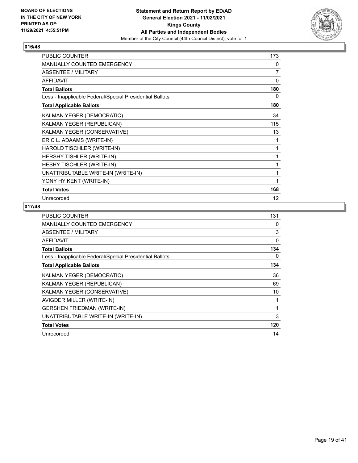

| <b>PUBLIC COUNTER</b>                                    | 173      |
|----------------------------------------------------------|----------|
| MANUALLY COUNTED EMERGENCY                               | 0        |
| ABSENTEE / MILITARY                                      | 7        |
| <b>AFFIDAVIT</b>                                         | 0        |
| <b>Total Ballots</b>                                     | 180      |
| Less - Inapplicable Federal/Special Presidential Ballots | $\Omega$ |
| <b>Total Applicable Ballots</b>                          | 180      |
| KALMAN YEGER (DEMOCRATIC)                                | 34       |
| KALMAN YEGER (REPUBLICAN)                                | 115      |
| KALMAN YEGER (CONSERVATIVE)                              | 13       |
| ERIC L. ADAAMS (WRITE-IN)                                | 1        |
| HAROLD TISCHLER (WRITE-IN)                               |          |
| HERSHY TISHLER (WRITE-IN)                                | 1        |
| <b>HESHY TISCHLER (WRITE-IN)</b>                         | 1        |
| UNATTRIBUTABLE WRITE-IN (WRITE-IN)                       | 1        |
| YONY HY KENT (WRITE-IN)                                  | 1        |
| <b>Total Votes</b>                                       | 168      |
| Unrecorded                                               | 12       |

| <b>PUBLIC COUNTER</b>                                    | 131      |
|----------------------------------------------------------|----------|
| <b>MANUALLY COUNTED EMERGENCY</b>                        | 0        |
| ABSENTEE / MILITARY                                      | 3        |
| <b>AFFIDAVIT</b>                                         | $\Omega$ |
| <b>Total Ballots</b>                                     | 134      |
| Less - Inapplicable Federal/Special Presidential Ballots | 0        |
| <b>Total Applicable Ballots</b>                          | 134      |
| KALMAN YEGER (DEMOCRATIC)                                | 36       |
| KALMAN YEGER (REPUBLICAN)                                | 69       |
| KALMAN YEGER (CONSERVATIVE)                              | 10       |
| AVIGDER MILLER (WRITE-IN)                                | 1        |
| <b>GERSHEN FRIEDMAN (WRITE-IN)</b>                       |          |
| UNATTRIBUTABLE WRITE-IN (WRITE-IN)                       | 3        |
| <b>Total Votes</b>                                       | 120      |
| Unrecorded                                               | 14       |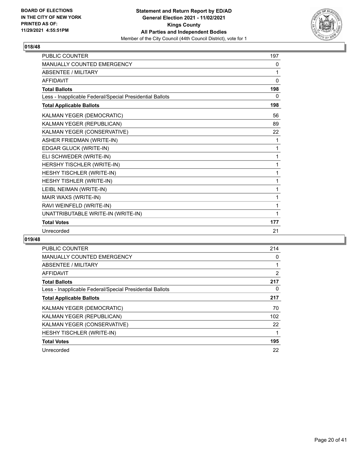

| <b>PUBLIC COUNTER</b>                                    | 197      |
|----------------------------------------------------------|----------|
| <b>MANUALLY COUNTED EMERGENCY</b>                        | 0        |
| <b>ABSENTEE / MILITARY</b>                               | 1        |
| <b>AFFIDAVIT</b>                                         | $\Omega$ |
| <b>Total Ballots</b>                                     | 198      |
| Less - Inapplicable Federal/Special Presidential Ballots | 0        |
| <b>Total Applicable Ballots</b>                          | 198      |
| KALMAN YEGER (DEMOCRATIC)                                | 56       |
| KALMAN YEGER (REPUBLICAN)                                | 89       |
| KALMAN YEGER (CONSERVATIVE)                              | 22       |
| <b>ASHER FRIEDMAN (WRITE-IN)</b>                         | 1        |
| EDGAR GLUCK (WRITE-IN)                                   | 1        |
| ELI SCHWEDER (WRITE-IN)                                  | 1        |
| HERSHY TISCHLER (WRITE-IN)                               | 1        |
| HESHY TISCHLER (WRITE-IN)                                | 1        |
| HESHY TISHLER (WRITE-IN)                                 | 1        |
| LEIBL NEIMAN (WRITE-IN)                                  | 1        |
| MAIR WAXS (WRITE-IN)                                     | 1        |
| RAVI WEINFELD (WRITE-IN)                                 | 1        |
| UNATTRIBUTABLE WRITE-IN (WRITE-IN)                       | 1        |
| <b>Total Votes</b>                                       | 177      |
| Unrecorded                                               | 21       |

| <b>PUBLIC COUNTER</b>                                    | 214            |
|----------------------------------------------------------|----------------|
| <b>MANUALLY COUNTED EMERGENCY</b>                        | 0              |
| ABSENTEE / MILITARY                                      |                |
| AFFIDAVIT                                                | $\overline{2}$ |
| <b>Total Ballots</b>                                     | 217            |
| Less - Inapplicable Federal/Special Presidential Ballots | 0              |
| <b>Total Applicable Ballots</b>                          | 217            |
| KALMAN YEGER (DEMOCRATIC)                                | 70             |
| KALMAN YEGER (REPUBLICAN)                                | 102            |
| KALMAN YEGER (CONSERVATIVE)                              | 22             |
| HESHY TISCHLER (WRITE-IN)                                | 1              |
| <b>Total Votes</b>                                       | 195            |
| Unrecorded                                               | 22             |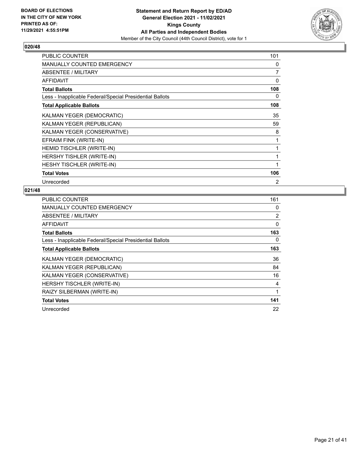

| <b>PUBLIC COUNTER</b>                                    | 101            |
|----------------------------------------------------------|----------------|
| MANUALLY COUNTED EMERGENCY                               | 0              |
| ABSENTEE / MILITARY                                      | 7              |
| <b>AFFIDAVIT</b>                                         | 0              |
| <b>Total Ballots</b>                                     | 108            |
| Less - Inapplicable Federal/Special Presidential Ballots | 0              |
| <b>Total Applicable Ballots</b>                          | 108            |
| KALMAN YEGER (DEMOCRATIC)                                | 35             |
| KALMAN YEGER (REPUBLICAN)                                | 59             |
| KALMAN YEGER (CONSERVATIVE)                              | 8              |
| EFRAIM FINK (WRITE-IN)                                   | 1              |
| HEMID TISCHLER (WRITE-IN)                                | 1              |
| HERSHY TISHLER (WRITE-IN)                                | 1              |
| HESHY TISCHLER (WRITE-IN)                                | $\mathbf{1}$   |
| <b>Total Votes</b>                                       | 106            |
| Unrecorded                                               | $\overline{2}$ |

| <b>PUBLIC COUNTER</b>                                    | 161            |
|----------------------------------------------------------|----------------|
| <b>MANUALLY COUNTED EMERGENCY</b>                        | 0              |
| ABSENTEE / MILITARY                                      | $\overline{2}$ |
| AFFIDAVIT                                                | 0              |
| <b>Total Ballots</b>                                     | 163            |
| Less - Inapplicable Federal/Special Presidential Ballots | 0              |
| <b>Total Applicable Ballots</b>                          | 163            |
| KALMAN YEGER (DEMOCRATIC)                                | 36             |
| KALMAN YEGER (REPUBLICAN)                                | 84             |
| KALMAN YEGER (CONSERVATIVE)                              | 16             |
| HERSHY TISCHLER (WRITE-IN)                               | 4              |
| RAIZY SILBERMAN (WRITE-IN)                               | 1              |
| <b>Total Votes</b>                                       | 141            |
| Unrecorded                                               | 22             |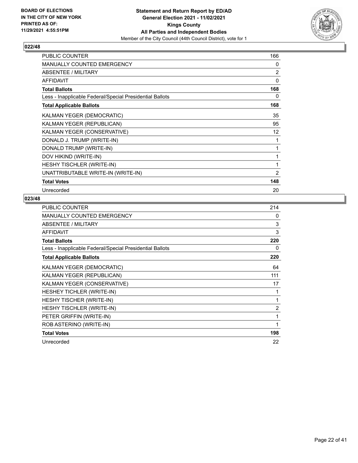

| <b>PUBLIC COUNTER</b>                                    | 166            |
|----------------------------------------------------------|----------------|
| <b>MANUALLY COUNTED EMERGENCY</b>                        | 0              |
| <b>ABSENTEE / MILITARY</b>                               | 2              |
| <b>AFFIDAVIT</b>                                         | $\Omega$       |
| <b>Total Ballots</b>                                     | 168            |
| Less - Inapplicable Federal/Special Presidential Ballots | 0              |
| <b>Total Applicable Ballots</b>                          | 168            |
| KALMAN YEGER (DEMOCRATIC)                                | 35             |
| KALMAN YEGER (REPUBLICAN)                                | 95             |
| KALMAN YEGER (CONSERVATIVE)                              | 12             |
| DONALD J. TRUMP (WRITE-IN)                               | 1              |
| DONALD TRUMP (WRITE-IN)                                  | 1              |
| DOV HIKIND (WRITE-IN)                                    | 1              |
| HESHY TISCHLER (WRITE-IN)                                | 1              |
| UNATTRIBUTABLE WRITE-IN (WRITE-IN)                       | $\overline{2}$ |
| <b>Total Votes</b>                                       | 148            |
| Unrecorded                                               | 20             |

| <b>PUBLIC COUNTER</b>                                    | 214            |
|----------------------------------------------------------|----------------|
| MANUALLY COUNTED EMERGENCY                               | 0              |
| ABSENTEE / MILITARY                                      | 3              |
| <b>AFFIDAVIT</b>                                         | 3              |
| <b>Total Ballots</b>                                     | 220            |
| Less - Inapplicable Federal/Special Presidential Ballots | 0              |
| <b>Total Applicable Ballots</b>                          | 220            |
| KALMAN YEGER (DEMOCRATIC)                                | 64             |
| KALMAN YEGER (REPUBLICAN)                                | 111            |
| KALMAN YEGER (CONSERVATIVE)                              | 17             |
| HESHEY TICHLER (WRITE-IN)                                | 1              |
| HESHY TISCHER (WRITE-IN)                                 | 1              |
| HESHY TISCHLER (WRITE-IN)                                | $\overline{2}$ |
| PETER GRIFFIN (WRITE-IN)                                 | 1              |
| ROB ASTERINO (WRITE-IN)                                  | 1              |
| <b>Total Votes</b>                                       | 198            |
| Unrecorded                                               | 22             |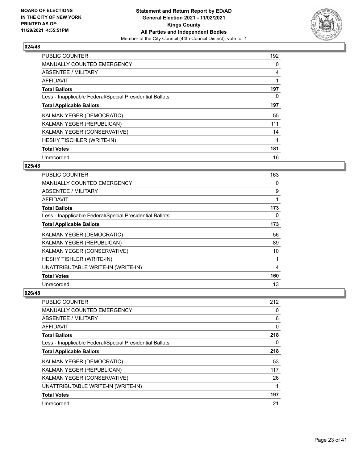

| <b>PUBLIC COUNTER</b>                                    | 192 |
|----------------------------------------------------------|-----|
| <b>MANUALLY COUNTED EMERGENCY</b>                        | 0   |
| ABSENTEE / MILITARY                                      | 4   |
| AFFIDAVIT                                                |     |
| <b>Total Ballots</b>                                     | 197 |
| Less - Inapplicable Federal/Special Presidential Ballots | 0   |
| <b>Total Applicable Ballots</b>                          | 197 |
| KALMAN YEGER (DEMOCRATIC)                                | 55  |
| KALMAN YEGER (REPUBLICAN)                                | 111 |
| KALMAN YEGER (CONSERVATIVE)                              | 14  |
| <b>HESHY TISCHLER (WRITE-IN)</b>                         |     |
| <b>Total Votes</b>                                       | 181 |
| Unrecorded                                               | 16  |

# **025/48**

| <b>PUBLIC COUNTER</b>                                    | 163 |
|----------------------------------------------------------|-----|
| MANUALLY COUNTED EMERGENCY                               | 0   |
| ABSENTEE / MILITARY                                      | 9   |
| <b>AFFIDAVIT</b>                                         | 1   |
| <b>Total Ballots</b>                                     | 173 |
| Less - Inapplicable Federal/Special Presidential Ballots | 0   |
| <b>Total Applicable Ballots</b>                          | 173 |
| KALMAN YEGER (DEMOCRATIC)                                | 56  |
| KALMAN YEGER (REPUBLICAN)                                | 89  |
| KALMAN YEGER (CONSERVATIVE)                              | 10  |
| HESHY TISHLER (WRITE-IN)                                 | 1   |
| UNATTRIBUTABLE WRITE-IN (WRITE-IN)                       | 4   |
| <b>Total Votes</b>                                       | 160 |
| Unrecorded                                               | 13  |

| <b>PUBLIC COUNTER</b>                                    | 212      |
|----------------------------------------------------------|----------|
| <b>MANUALLY COUNTED EMERGENCY</b>                        | 0        |
| ABSENTEE / MILITARY                                      | 6        |
| AFFIDAVIT                                                | $\Omega$ |
| <b>Total Ballots</b>                                     | 218      |
| Less - Inapplicable Federal/Special Presidential Ballots | 0        |
| <b>Total Applicable Ballots</b>                          | 218      |
| <b>KALMAN YEGER (DEMOCRATIC)</b>                         | 53       |
| KALMAN YEGER (REPUBLICAN)                                | 117      |
| KALMAN YEGER (CONSERVATIVE)                              | 26       |
| UNATTRIBUTABLE WRITE-IN (WRITE-IN)                       |          |
| <b>Total Votes</b>                                       | 197      |
| Unrecorded                                               | 21       |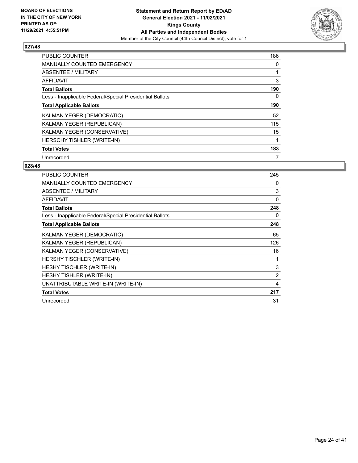

| <b>PUBLIC COUNTER</b>                                    | 186 |
|----------------------------------------------------------|-----|
| <b>MANUALLY COUNTED EMERGENCY</b>                        | 0   |
| ABSENTEE / MILITARY                                      |     |
| <b>AFFIDAVIT</b>                                         | 3   |
| <b>Total Ballots</b>                                     | 190 |
| Less - Inapplicable Federal/Special Presidential Ballots | 0   |
| <b>Total Applicable Ballots</b>                          | 190 |
| KALMAN YEGER (DEMOCRATIC)                                | 52  |
| KALMAN YEGER (REPUBLICAN)                                | 115 |
| KALMAN YEGER (CONSERVATIVE)                              | 15  |
| HERSCHY TISHLER (WRITE-IN)                               |     |
| <b>Total Votes</b>                                       | 183 |
| Unrecorded                                               | 7   |

| <b>PUBLIC COUNTER</b>                                    | 245            |
|----------------------------------------------------------|----------------|
| <b>MANUALLY COUNTED EMERGENCY</b>                        | 0              |
| ABSENTEE / MILITARY                                      | 3              |
| <b>AFFIDAVIT</b>                                         | $\mathbf{0}$   |
| <b>Total Ballots</b>                                     | 248            |
| Less - Inapplicable Federal/Special Presidential Ballots | 0              |
| <b>Total Applicable Ballots</b>                          | 248            |
| KALMAN YEGER (DEMOCRATIC)                                | 65             |
| KALMAN YEGER (REPUBLICAN)                                | 126            |
| KALMAN YEGER (CONSERVATIVE)                              | 16             |
| HERSHY TISCHLER (WRITE-IN)                               | 1              |
| <b>HESHY TISCHLER (WRITE-IN)</b>                         | 3              |
| <b>HESHY TISHLER (WRITE-IN)</b>                          | $\overline{2}$ |
| UNATTRIBUTABLE WRITE-IN (WRITE-IN)                       | 4              |
| <b>Total Votes</b>                                       | 217            |
| Unrecorded                                               | 31             |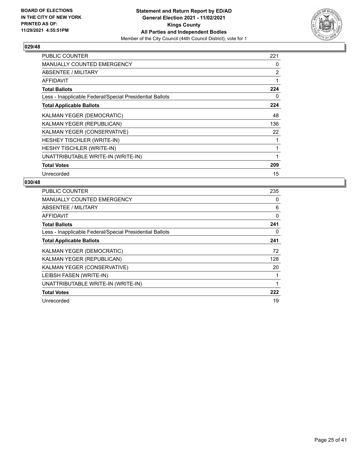

| <b>PUBLIC COUNTER</b>                                    | 221            |
|----------------------------------------------------------|----------------|
| <b>MANUALLY COUNTED EMERGENCY</b>                        | 0              |
| ABSENTEE / MILITARY                                      | $\overline{2}$ |
| AFFIDAVIT                                                | 1              |
| <b>Total Ballots</b>                                     | 224            |
| Less - Inapplicable Federal/Special Presidential Ballots | 0              |
| <b>Total Applicable Ballots</b>                          | 224            |
| KALMAN YEGER (DEMOCRATIC)                                | 48             |
| KALMAN YEGER (REPUBLICAN)                                | 136            |
| KALMAN YEGER (CONSERVATIVE)                              | 22             |
| HESHEY TISCHLER (WRITE-IN)                               |                |
| HESHY TISCHLER (WRITE-IN)                                | 1              |
| UNATTRIBUTABLE WRITE-IN (WRITE-IN)                       | 1              |
| <b>Total Votes</b>                                       | 209            |
| Unrecorded                                               | 15             |

| <b>PUBLIC COUNTER</b>                                    | 235 |
|----------------------------------------------------------|-----|
| <b>MANUALLY COUNTED EMERGENCY</b>                        | 0   |
| ABSENTEE / MILITARY                                      | 6   |
| AFFIDAVIT                                                | 0   |
| <b>Total Ballots</b>                                     | 241 |
| Less - Inapplicable Federal/Special Presidential Ballots | 0   |
| <b>Total Applicable Ballots</b>                          | 241 |
| <b>KALMAN YEGER (DEMOCRATIC)</b>                         | 72  |
| KALMAN YEGER (REPUBLICAN)                                | 128 |
| KALMAN YEGER (CONSERVATIVE)                              | 20  |
| LEIBSH FASEN (WRITE-IN)                                  |     |
| UNATTRIBUTABLE WRITE-IN (WRITE-IN)                       |     |
| <b>Total Votes</b>                                       | 222 |
| Unrecorded                                               | 19  |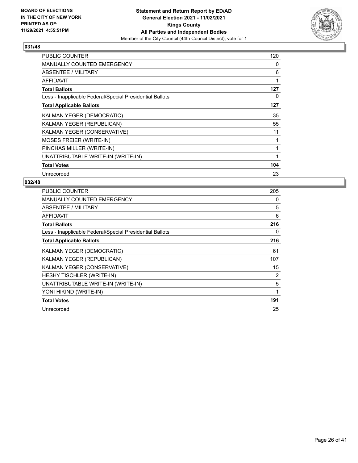

| PUBLIC COUNTER                                           | 120 |
|----------------------------------------------------------|-----|
| <b>MANUALLY COUNTED EMERGENCY</b>                        | 0   |
| <b>ABSENTEE / MILITARY</b>                               | 6   |
| <b>AFFIDAVIT</b>                                         | 1   |
| <b>Total Ballots</b>                                     | 127 |
| Less - Inapplicable Federal/Special Presidential Ballots | 0   |
| <b>Total Applicable Ballots</b>                          | 127 |
| KALMAN YEGER (DEMOCRATIC)                                | 35  |
| KALMAN YEGER (REPUBLICAN)                                | 55  |
| KALMAN YEGER (CONSERVATIVE)                              | 11  |
| MOSES FREIER (WRITE-IN)                                  |     |
| PINCHAS MILLER (WRITE-IN)                                |     |
| UNATTRIBUTABLE WRITE-IN (WRITE-IN)                       | 1   |
| <b>Total Votes</b>                                       | 104 |
| Unrecorded                                               | 23  |

| <b>PUBLIC COUNTER</b>                                    | 205 |
|----------------------------------------------------------|-----|
| <b>MANUALLY COUNTED EMERGENCY</b>                        | 0   |
| ABSENTEE / MILITARY                                      | 5   |
| <b>AFFIDAVIT</b>                                         | 6   |
| <b>Total Ballots</b>                                     | 216 |
| Less - Inapplicable Federal/Special Presidential Ballots | 0   |
| <b>Total Applicable Ballots</b>                          | 216 |
| KALMAN YEGER (DEMOCRATIC)                                | 61  |
| KALMAN YEGER (REPUBLICAN)                                | 107 |
| KALMAN YEGER (CONSERVATIVE)                              | 15  |
| HESHY TISCHLER (WRITE-IN)                                | 2   |
| UNATTRIBUTABLE WRITE-IN (WRITE-IN)                       | 5   |
| YONI HIKIND (WRITE-IN)                                   | 1   |
| <b>Total Votes</b>                                       | 191 |
| Unrecorded                                               | 25  |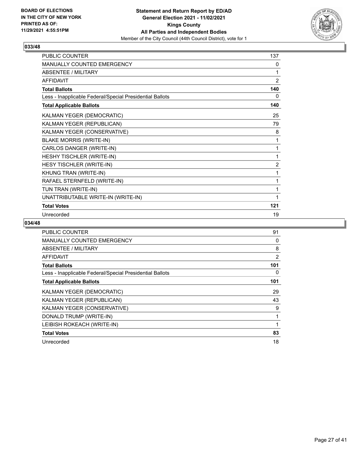

| <b>PUBLIC COUNTER</b>                                    | 137            |
|----------------------------------------------------------|----------------|
| <b>MANUALLY COUNTED EMERGENCY</b>                        | 0              |
| <b>ABSENTEE / MILITARY</b>                               | 1              |
| <b>AFFIDAVIT</b>                                         | $\overline{2}$ |
| <b>Total Ballots</b>                                     | 140            |
| Less - Inapplicable Federal/Special Presidential Ballots | 0              |
| <b>Total Applicable Ballots</b>                          | 140            |
| KALMAN YEGER (DEMOCRATIC)                                | 25             |
| KALMAN YEGER (REPUBLICAN)                                | 79             |
| KALMAN YEGER (CONSERVATIVE)                              | 8              |
| <b>BLAKE MORRIS (WRITE-IN)</b>                           | 1              |
| CARLOS DANGER (WRITE-IN)                                 | 1              |
| HESHY TISCHLER (WRITE-IN)                                | 1              |
| HESY TISCHLER (WRITE-IN)                                 | $\overline{2}$ |
| KHUNG TRAN (WRITE-IN)                                    | 1              |
| RAFAEL STERNFELD (WRITE-IN)                              | 1              |
| TUN TRAN (WRITE-IN)                                      | 1              |
| UNATTRIBUTABLE WRITE-IN (WRITE-IN)                       | 1              |
| <b>Total Votes</b>                                       | 121            |
| Unrecorded                                               | 19             |

| PUBLIC COUNTER                                           | 91  |
|----------------------------------------------------------|-----|
| <b>MANUALLY COUNTED EMERGENCY</b>                        | 0   |
| ABSENTEE / MILITARY                                      | 8   |
| <b>AFFIDAVIT</b>                                         | 2   |
| <b>Total Ballots</b>                                     | 101 |
| Less - Inapplicable Federal/Special Presidential Ballots | 0   |
| <b>Total Applicable Ballots</b>                          | 101 |
| KALMAN YEGER (DEMOCRATIC)                                | 29  |
| KALMAN YEGER (REPUBLICAN)                                | 43  |
| KALMAN YEGER (CONSERVATIVE)                              | 9   |
| DONALD TRUMP (WRITE-IN)                                  |     |
| LEIBISH ROKEACH (WRITE-IN)                               |     |
| <b>Total Votes</b>                                       | 83  |
| Unrecorded                                               | 18  |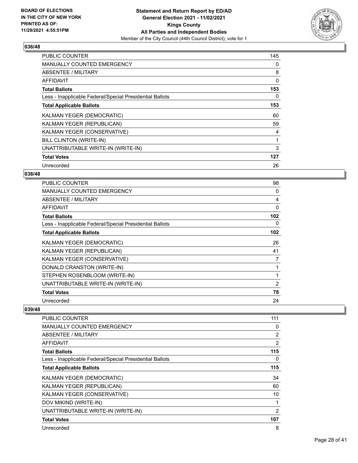

| <b>PUBLIC COUNTER</b>                                    | 145 |
|----------------------------------------------------------|-----|
| MANUALLY COUNTED EMERGENCY                               | 0   |
| <b>ABSENTEE / MILITARY</b>                               | 8   |
| <b>AFFIDAVIT</b>                                         | 0   |
| <b>Total Ballots</b>                                     | 153 |
| Less - Inapplicable Federal/Special Presidential Ballots | 0   |
| <b>Total Applicable Ballots</b>                          | 153 |
| KALMAN YEGER (DEMOCRATIC)                                | 60  |
| KALMAN YEGER (REPUBLICAN)                                | 59  |
| KALMAN YEGER (CONSERVATIVE)                              | 4   |
| BILL CLINTON (WRITE-IN)                                  | 1   |
| UNATTRIBUTABLE WRITE-IN (WRITE-IN)                       | 3   |
| <b>Total Votes</b>                                       | 127 |
| Unrecorded                                               | 26  |

## **038/48**

| <b>PUBLIC COUNTER</b>                                    | 98  |
|----------------------------------------------------------|-----|
| <b>MANUALLY COUNTED EMERGENCY</b>                        | 0   |
| ABSENTEE / MILITARY                                      | 4   |
| AFFIDAVIT                                                | 0   |
| <b>Total Ballots</b>                                     | 102 |
| Less - Inapplicable Federal/Special Presidential Ballots | 0   |
| <b>Total Applicable Ballots</b>                          | 102 |
| KALMAN YEGER (DEMOCRATIC)                                | 26  |
| KALMAN YEGER (REPUBLICAN)                                | 41  |
| KALMAN YEGER (CONSERVATIVE)                              | 7   |
| DONALD CRANSTON (WRITE-IN)                               |     |
| STEPHEN ROSENBLOOM (WRITE-IN)                            |     |
| UNATTRIBUTABLE WRITE-IN (WRITE-IN)                       | 2   |
| <b>Total Votes</b>                                       | 78  |
| Unrecorded                                               | 24  |

| PUBLIC COUNTER                                           | 111            |
|----------------------------------------------------------|----------------|
| <b>MANUALLY COUNTED EMERGENCY</b>                        | 0              |
| ABSENTEE / MILITARY                                      | $\overline{2}$ |
| AFFIDAVIT                                                | $\overline{2}$ |
| <b>Total Ballots</b>                                     | 115            |
| Less - Inapplicable Federal/Special Presidential Ballots | 0              |
| <b>Total Applicable Ballots</b>                          | 115            |
| KALMAN YEGER (DEMOCRATIC)                                | 34             |
| KALMAN YEGER (REPUBLICAN)                                | 60             |
| KALMAN YEGER (CONSERVATIVE)                              | 10             |
| DOV MIKIND (WRITE-IN)                                    | 1              |
| UNATTRIBUTABLE WRITE-IN (WRITE-IN)                       | $\overline{2}$ |
| <b>Total Votes</b>                                       | 107            |
| Unrecorded                                               | 8              |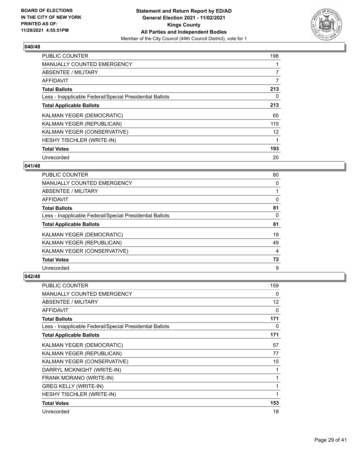

| <b>PUBLIC COUNTER</b>                                    | 198            |
|----------------------------------------------------------|----------------|
| <b>MANUALLY COUNTED EMERGENCY</b>                        |                |
| ABSENTEE / MILITARY                                      | $\overline{7}$ |
| <b>AFFIDAVIT</b>                                         | 7              |
| <b>Total Ballots</b>                                     | 213            |
| Less - Inapplicable Federal/Special Presidential Ballots | 0              |
| <b>Total Applicable Ballots</b>                          | 213            |
| KALMAN YEGER (DEMOCRATIC)                                | 65             |
| KALMAN YEGER (REPUBLICAN)                                | 115            |
| KALMAN YEGER (CONSERVATIVE)                              | 12             |
| HESHY TISCHLER (WRITE-IN)                                |                |
| <b>Total Votes</b>                                       | 193            |
| Unrecorded                                               | 20             |

## **041/48**

| PUBLIC COUNTER                                           | 80 |
|----------------------------------------------------------|----|
| <b>MANUALLY COUNTED EMERGENCY</b>                        | 0  |
| ABSENTEE / MILITARY                                      |    |
| AFFIDAVIT                                                | 0  |
| <b>Total Ballots</b>                                     | 81 |
| Less - Inapplicable Federal/Special Presidential Ballots | 0  |
| <b>Total Applicable Ballots</b>                          | 81 |
| KALMAN YEGER (DEMOCRATIC)                                | 19 |
| KALMAN YEGER (REPUBLICAN)                                | 49 |
| KALMAN YEGER (CONSERVATIVE)                              | 4  |
| <b>Total Votes</b>                                       | 72 |
| Unrecorded                                               | 9  |

| <b>PUBLIC COUNTER</b>                                    | 159               |
|----------------------------------------------------------|-------------------|
| <b>MANUALLY COUNTED EMERGENCY</b>                        | 0                 |
| <b>ABSENTEE / MILITARY</b>                               | $12 \overline{ }$ |
| <b>AFFIDAVIT</b>                                         | 0                 |
| <b>Total Ballots</b>                                     | 171               |
| Less - Inapplicable Federal/Special Presidential Ballots | 0                 |
| <b>Total Applicable Ballots</b>                          | 171               |
| KALMAN YEGER (DEMOCRATIC)                                | 57                |
| KALMAN YEGER (REPUBLICAN)                                | 77                |
| KALMAN YEGER (CONSERVATIVE)                              | 15                |
| DARRYL MCKNIGHT (WRITE-IN)                               | 1                 |
| FRANK MORANO (WRITE-IN)                                  | 1                 |
| <b>GREG KELLY (WRITE-IN)</b>                             | 1                 |
| HESHY TISCHLER (WRITE-IN)                                | 1                 |
| <b>Total Votes</b>                                       | 153               |
| Unrecorded                                               | 18                |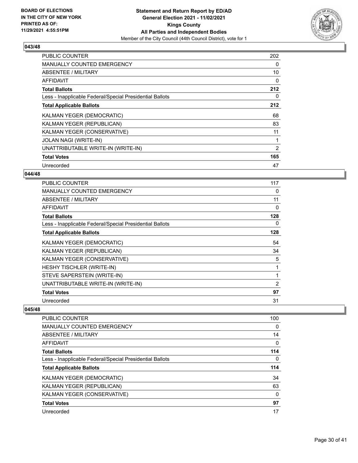

| <b>PUBLIC COUNTER</b>                                    | 202            |
|----------------------------------------------------------|----------------|
| MANUALLY COUNTED EMERGENCY                               | 0              |
| <b>ABSENTEE / MILITARY</b>                               | 10             |
| <b>AFFIDAVIT</b>                                         | 0              |
| <b>Total Ballots</b>                                     | 212            |
| Less - Inapplicable Federal/Special Presidential Ballots | 0              |
| <b>Total Applicable Ballots</b>                          | 212            |
| KALMAN YEGER (DEMOCRATIC)                                | 68             |
| KALMAN YEGER (REPUBLICAN)                                | 83             |
| KALMAN YEGER (CONSERVATIVE)                              | 11             |
| <b>JOLAN NAGI (WRITE-IN)</b>                             | 1              |
| UNATTRIBUTABLE WRITE-IN (WRITE-IN)                       | $\overline{2}$ |
| <b>Total Votes</b>                                       | 165            |
| Unrecorded                                               | 47             |

## **044/48**

| <b>PUBLIC COUNTER</b>                                    | 117 |
|----------------------------------------------------------|-----|
| <b>MANUALLY COUNTED EMERGENCY</b>                        | 0   |
| ABSENTEE / MILITARY                                      | 11  |
| AFFIDAVIT                                                | 0   |
| <b>Total Ballots</b>                                     | 128 |
| Less - Inapplicable Federal/Special Presidential Ballots | 0   |
| <b>Total Applicable Ballots</b>                          | 128 |
| KALMAN YEGER (DEMOCRATIC)                                | 54  |
| KALMAN YEGER (REPUBLICAN)                                | 34  |
| KALMAN YEGER (CONSERVATIVE)                              | 5   |
| HESHY TISCHLER (WRITE-IN)                                | 1   |
| STEVE SAPERSTEIN (WRITE-IN)                              | 1   |
| UNATTRIBUTABLE WRITE-IN (WRITE-IN)                       | 2   |
| <b>Total Votes</b>                                       | 97  |
| Unrecorded                                               | 31  |

| <b>PUBLIC COUNTER</b>                                    | 100 |
|----------------------------------------------------------|-----|
| <b>MANUALLY COUNTED EMERGENCY</b>                        | 0   |
| ABSENTEE / MILITARY                                      | 14  |
| AFFIDAVIT                                                | 0   |
| <b>Total Ballots</b>                                     | 114 |
| Less - Inapplicable Federal/Special Presidential Ballots | 0   |
| <b>Total Applicable Ballots</b>                          | 114 |
| KALMAN YEGER (DEMOCRATIC)                                | 34  |
|                                                          |     |
| KALMAN YEGER (REPUBLICAN)                                | 63  |
| KALMAN YEGER (CONSERVATIVE)                              | 0   |
| <b>Total Votes</b>                                       | 97  |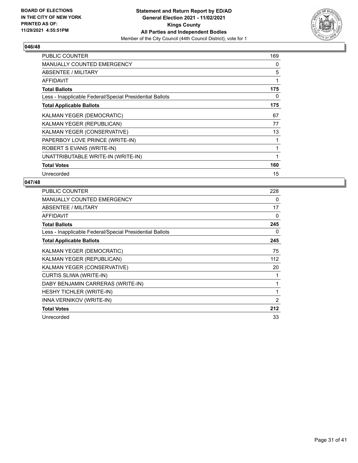

| <b>PUBLIC COUNTER</b>                                    | 169 |
|----------------------------------------------------------|-----|
| <b>MANUALLY COUNTED EMERGENCY</b>                        | 0   |
| ABSENTEE / MILITARY                                      | 5   |
| <b>AFFIDAVIT</b>                                         | 1   |
| <b>Total Ballots</b>                                     | 175 |
| Less - Inapplicable Federal/Special Presidential Ballots | 0   |
| <b>Total Applicable Ballots</b>                          | 175 |
| KALMAN YEGER (DEMOCRATIC)                                | 67  |
| KALMAN YEGER (REPUBLICAN)                                | 77  |
| KALMAN YEGER (CONSERVATIVE)                              | 13  |
| PAPERBOY LOVE PRINCE (WRITE-IN)                          | 1   |
| ROBERT S EVANS (WRITE-IN)                                | 1   |
| UNATTRIBUTABLE WRITE-IN (WRITE-IN)                       | 1   |
| <b>Total Votes</b>                                       | 160 |
| Unrecorded                                               | 15  |

| <b>PUBLIC COUNTER</b>                                    | 228          |
|----------------------------------------------------------|--------------|
| <b>MANUALLY COUNTED EMERGENCY</b>                        | 0            |
| ABSENTEE / MILITARY                                      | 17           |
| <b>AFFIDAVIT</b>                                         | 0            |
| <b>Total Ballots</b>                                     | 245          |
| Less - Inapplicable Federal/Special Presidential Ballots | 0            |
| <b>Total Applicable Ballots</b>                          | 245          |
| KALMAN YEGER (DEMOCRATIC)                                | 75           |
| KALMAN YEGER (REPUBLICAN)                                | 112          |
| KALMAN YEGER (CONSERVATIVE)                              | 20           |
| CURTIS SLIWA (WRITE-IN)                                  | 1            |
| DABY BENJAMIN CARRERAS (WRITE-IN)                        | 1            |
| <b>HESHY TICHLER (WRITE-IN)</b>                          | $\mathbf{1}$ |
| INNA VERNIKOV (WRITE-IN)                                 | 2            |
| <b>Total Votes</b>                                       | 212          |
| Unrecorded                                               | 33           |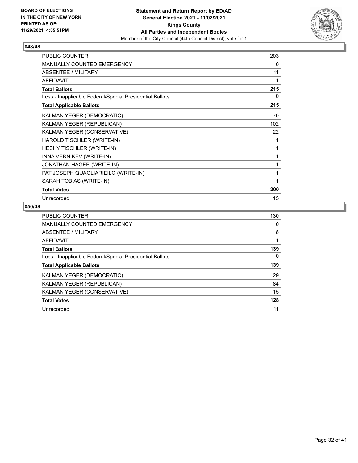

| PUBLIC COUNTER                                           | 203      |
|----------------------------------------------------------|----------|
| <b>MANUALLY COUNTED EMERGENCY</b>                        | 0        |
| ABSENTEE / MILITARY                                      | 11       |
| <b>AFFIDAVIT</b>                                         |          |
| <b>Total Ballots</b>                                     | 215      |
| Less - Inapplicable Federal/Special Presidential Ballots | $\Omega$ |
| <b>Total Applicable Ballots</b>                          | 215      |
| KALMAN YEGER (DEMOCRATIC)                                | 70       |
| KALMAN YEGER (REPUBLICAN)                                | 102      |
| KALMAN YEGER (CONSERVATIVE)                              | 22       |
| HAROLD TISCHLER (WRITE-IN)                               | 1        |
| <b>HESHY TISCHLER (WRITE-IN)</b>                         | 1        |
| INNA VERNIKEV (WRITE-IN)                                 |          |
| JONATHAN HAGER (WRITE-IN)                                |          |
| PAT JOSEPH QUAGLIARIEILO (WRITE-IN)                      | 1        |
| SARAH TOBIAS (WRITE-IN)                                  | 1        |
| <b>Total Votes</b>                                       | 200      |
| Unrecorded                                               | 15       |

| <b>PUBLIC COUNTER</b>                                    | 130 |
|----------------------------------------------------------|-----|
| <b>MANUALLY COUNTED EMERGENCY</b>                        | 0   |
| ABSENTEE / MILITARY                                      | 8   |
| <b>AFFIDAVIT</b>                                         |     |
| <b>Total Ballots</b>                                     | 139 |
| Less - Inapplicable Federal/Special Presidential Ballots | 0   |
| <b>Total Applicable Ballots</b>                          | 139 |
| KALMAN YEGER (DEMOCRATIC)                                | 29  |
| KALMAN YEGER (REPUBLICAN)                                | 84  |
| KALMAN YEGER (CONSERVATIVE)                              | 15  |
| <b>Total Votes</b>                                       | 128 |
| Unrecorded                                               | 11  |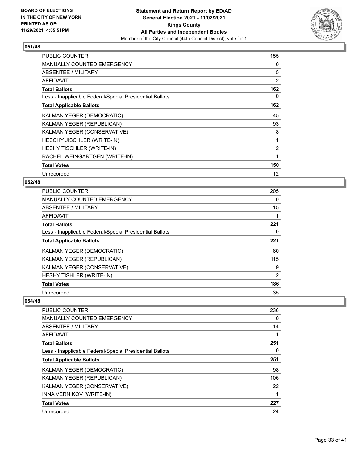

| <b>PUBLIC COUNTER</b>                                    | 155            |
|----------------------------------------------------------|----------------|
| MANUALLY COUNTED EMERGENCY                               | 0              |
| ABSENTEE / MILITARY                                      | 5              |
| <b>AFFIDAVIT</b>                                         | 2              |
| <b>Total Ballots</b>                                     | 162            |
| Less - Inapplicable Federal/Special Presidential Ballots | 0              |
| <b>Total Applicable Ballots</b>                          | 162            |
| KALMAN YEGER (DEMOCRATIC)                                | 45             |
| KALMAN YEGER (REPUBLICAN)                                | 93             |
| KALMAN YEGER (CONSERVATIVE)                              | 8              |
| HESCHY JISCHLER (WRITE-IN)                               |                |
| HESHY TISCHLER (WRITE-IN)                                | $\overline{2}$ |
| RACHEL WEINGARTGEN (WRITE-IN)                            | 1              |
| <b>Total Votes</b>                                       | 150            |
| Unrecorded                                               | 12             |

## **052/48**

| <b>PUBLIC COUNTER</b>                                    | 205 |
|----------------------------------------------------------|-----|
| MANUALLY COUNTED EMERGENCY                               | 0   |
| ABSENTEE / MILITARY                                      | 15  |
| <b>AFFIDAVIT</b>                                         |     |
| <b>Total Ballots</b>                                     | 221 |
| Less - Inapplicable Federal/Special Presidential Ballots | 0   |
| <b>Total Applicable Ballots</b>                          | 221 |
| KALMAN YEGER (DEMOCRATIC)                                | 60  |
| KALMAN YEGER (REPUBLICAN)                                | 115 |
| KALMAN YEGER (CONSERVATIVE)                              | 9   |
| HESHY TISHLER (WRITE-IN)                                 | 2   |
| <b>Total Votes</b>                                       | 186 |
| Unrecorded                                               | 35  |

| <b>PUBLIC COUNTER</b>                                    | 236 |
|----------------------------------------------------------|-----|
| <b>MANUALLY COUNTED EMERGENCY</b>                        | 0   |
| ABSENTEE / MILITARY                                      | 14  |
| <b>AFFIDAVIT</b>                                         |     |
| <b>Total Ballots</b>                                     | 251 |
| Less - Inapplicable Federal/Special Presidential Ballots | 0   |
| <b>Total Applicable Ballots</b>                          | 251 |
| KALMAN YEGER (DEMOCRATIC)                                | 98  |
| KALMAN YEGER (REPUBLICAN)                                | 106 |
| KALMAN YEGER (CONSERVATIVE)                              | 22  |
| INNA VERNIKOV (WRITE-IN)                                 |     |
| <b>Total Votes</b>                                       | 227 |
| Unrecorded                                               | 24  |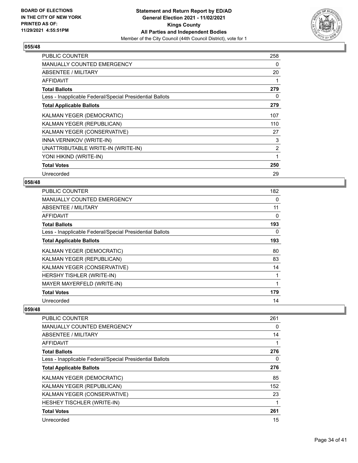

| <b>PUBLIC COUNTER</b>                                    | 258            |
|----------------------------------------------------------|----------------|
| <b>MANUALLY COUNTED EMERGENCY</b>                        | 0              |
| ABSENTEE / MILITARY                                      | 20             |
| <b>AFFIDAVIT</b>                                         | 1              |
| <b>Total Ballots</b>                                     | 279            |
| Less - Inapplicable Federal/Special Presidential Ballots | 0              |
| <b>Total Applicable Ballots</b>                          | 279            |
| KALMAN YEGER (DEMOCRATIC)                                | 107            |
| KALMAN YEGER (REPUBLICAN)                                | 110            |
| KALMAN YEGER (CONSERVATIVE)                              | 27             |
| INNA VERNIKOV (WRITE-IN)                                 | 3              |
| UNATTRIBUTABLE WRITE-IN (WRITE-IN)                       | $\overline{2}$ |
| YONI HIKIND (WRITE-IN)                                   | 1              |
| <b>Total Votes</b>                                       | 250            |
| Unrecorded                                               | 29             |

# **058/48**

| <b>PUBLIC COUNTER</b>                                    | 182 |
|----------------------------------------------------------|-----|
| <b>MANUALLY COUNTED EMERGENCY</b>                        | 0   |
| ABSENTEE / MILITARY                                      | 11  |
| AFFIDAVIT                                                | 0   |
| <b>Total Ballots</b>                                     | 193 |
| Less - Inapplicable Federal/Special Presidential Ballots | 0   |
| <b>Total Applicable Ballots</b>                          | 193 |
| KALMAN YEGER (DEMOCRATIC)                                | 80  |
| KALMAN YEGER (REPUBLICAN)                                | 83  |
| KALMAN YEGER (CONSERVATIVE)                              | 14  |
| HERSHY TISHLER (WRITE-IN)                                | 1   |
| MAYER MAYERFELD (WRITE-IN)                               |     |
| <b>Total Votes</b>                                       | 179 |
| Unrecorded                                               | 14  |

| <b>PUBLIC COUNTER</b>                                    | 261 |
|----------------------------------------------------------|-----|
| <b>MANUALLY COUNTED EMERGENCY</b>                        | 0   |
| ABSENTEE / MILITARY                                      | 14  |
| AFFIDAVIT                                                | 1   |
| <b>Total Ballots</b>                                     | 276 |
| Less - Inapplicable Federal/Special Presidential Ballots | 0   |
| <b>Total Applicable Ballots</b>                          | 276 |
| KALMAN YEGER (DEMOCRATIC)                                | 85  |
| KALMAN YEGER (REPUBLICAN)                                | 152 |
| KALMAN YEGER (CONSERVATIVE)                              | 23  |
| HESHEY TISCHLER (WRITE-IN)                               | 1   |
| <b>Total Votes</b>                                       | 261 |
| Unrecorded                                               | 15  |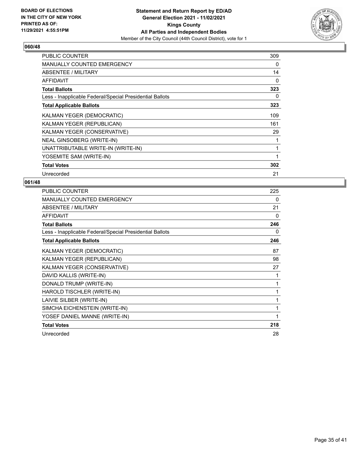

| <b>PUBLIC COUNTER</b>                                    | 309 |
|----------------------------------------------------------|-----|
| <b>MANUALLY COUNTED EMERGENCY</b>                        | 0   |
| ABSENTEE / MILITARY                                      | 14  |
| <b>AFFIDAVIT</b>                                         | 0   |
| <b>Total Ballots</b>                                     | 323 |
| Less - Inapplicable Federal/Special Presidential Ballots | 0   |
| <b>Total Applicable Ballots</b>                          | 323 |
| KALMAN YEGER (DEMOCRATIC)                                | 109 |
| KALMAN YEGER (REPUBLICAN)                                | 161 |
| KALMAN YEGER (CONSERVATIVE)                              | 29  |
| NEAL GINSOBERG (WRITE-IN)                                |     |
| UNATTRIBUTABLE WRITE-IN (WRITE-IN)                       | 1   |
| YOSEMITE SAM (WRITE-IN)                                  | 1   |
| <b>Total Votes</b>                                       | 302 |
| Unrecorded                                               | 21  |

| PUBLIC COUNTER                                           | 225 |
|----------------------------------------------------------|-----|
| MANUALLY COUNTED EMERGENCY                               | 0   |
| <b>ABSENTEE / MILITARY</b>                               | 21  |
| <b>AFFIDAVIT</b>                                         | 0   |
| <b>Total Ballots</b>                                     | 246 |
| Less - Inapplicable Federal/Special Presidential Ballots | 0   |
| <b>Total Applicable Ballots</b>                          | 246 |
| KALMAN YEGER (DEMOCRATIC)                                | 87  |
| KALMAN YEGER (REPUBLICAN)                                | 98  |
| KALMAN YEGER (CONSERVATIVE)                              | 27  |
| DAVID KALLIS (WRITE-IN)                                  | 1   |
| DONALD TRUMP (WRITE-IN)                                  | 1   |
| HAROLD TISCHLER (WRITE-IN)                               | 1   |
| LAIVIE SILBER (WRITE-IN)                                 | 1   |
| SIMCHA EICHENSTEIN (WRITE-IN)                            | 1   |
| YOSEF DANIEL MANNE (WRITE-IN)                            | 1   |
| <b>Total Votes</b>                                       | 218 |
| Unrecorded                                               | 28  |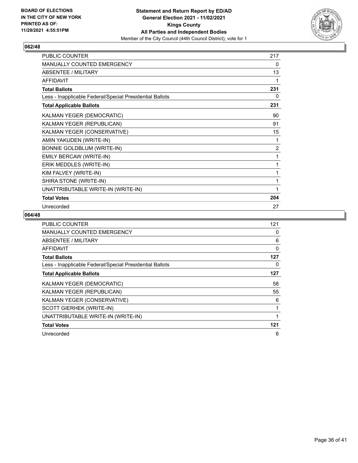

| PUBLIC COUNTER                                           | 217 |
|----------------------------------------------------------|-----|
| <b>MANUALLY COUNTED EMERGENCY</b>                        | 0   |
| <b>ABSENTEE / MILITARY</b>                               | 13  |
| <b>AFFIDAVIT</b>                                         | 1   |
| <b>Total Ballots</b>                                     | 231 |
| Less - Inapplicable Federal/Special Presidential Ballots | 0   |
| <b>Total Applicable Ballots</b>                          | 231 |
| KALMAN YEGER (DEMOCRATIC)                                | 90  |
| KALMAN YEGER (REPUBLICAN)                                | 91  |
| KALMAN YEGER (CONSERVATIVE)                              | 15  |
| AMIN YAKUDEN (WRITE-IN)                                  | 1   |
| BONNIE GOLDBLUM (WRITE-IN)                               | 2   |
| EMILY BERCAW (WRITE-IN)                                  | 1   |
| ERIK MEDDLES (WRITE-IN)                                  | 1   |
| KIM FALVEY (WRITE-IN)                                    | 1   |
| SHIRA STONE (WRITE-IN)                                   | 1   |
| UNATTRIBUTABLE WRITE-IN (WRITE-IN)                       | 1   |
| <b>Total Votes</b>                                       | 204 |
| Unrecorded                                               | 27  |

| <b>PUBLIC COUNTER</b>                                    | 121 |
|----------------------------------------------------------|-----|
| <b>MANUALLY COUNTED EMERGENCY</b>                        | 0   |
| ABSENTEE / MILITARY                                      | 6   |
| <b>AFFIDAVIT</b>                                         | 0   |
| <b>Total Ballots</b>                                     | 127 |
| Less - Inapplicable Federal/Special Presidential Ballots | 0   |
| <b>Total Applicable Ballots</b>                          | 127 |
| KALMAN YEGER (DEMOCRATIC)                                | 58  |
| KALMAN YEGER (REPUBLICAN)                                | 55  |
| KALMAN YEGER (CONSERVATIVE)                              | 6   |
| SCOTT GIERHEK (WRITE-IN)                                 |     |
| UNATTRIBUTABLE WRITE-IN (WRITE-IN)                       |     |
| <b>Total Votes</b>                                       | 121 |
| Unrecorded                                               | 6   |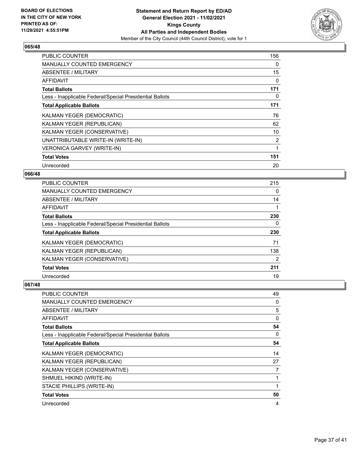

| <b>PUBLIC COUNTER</b>                                    | 156            |
|----------------------------------------------------------|----------------|
| <b>MANUALLY COUNTED EMERGENCY</b>                        | 0              |
| <b>ABSENTEE / MILITARY</b>                               | 15             |
| <b>AFFIDAVIT</b>                                         | 0              |
| <b>Total Ballots</b>                                     | 171            |
| Less - Inapplicable Federal/Special Presidential Ballots | 0              |
| <b>Total Applicable Ballots</b>                          | 171            |
| KALMAN YEGER (DEMOCRATIC)                                | 76             |
| KALMAN YEGER (REPUBLICAN)                                | 62             |
| KALMAN YEGER (CONSERVATIVE)                              | 10             |
| UNATTRIBUTABLE WRITE-IN (WRITE-IN)                       | $\overline{2}$ |
| <b>VERONICA GARVEY (WRITE-IN)</b>                        | 1              |
| <b>Total Votes</b>                                       | 151            |
| Unrecorded                                               | 20             |

## **066/48**

| <b>PUBLIC COUNTER</b>                                    | 215      |
|----------------------------------------------------------|----------|
| MANUALLY COUNTED EMERGENCY                               | $\Omega$ |
| ABSENTEE / MILITARY                                      | 14       |
| AFFIDAVIT                                                |          |
| <b>Total Ballots</b>                                     | 230      |
| Less - Inapplicable Federal/Special Presidential Ballots | $\Omega$ |
| <b>Total Applicable Ballots</b>                          | 230      |
| KALMAN YEGER (DEMOCRATIC)                                | 71       |
| KALMAN YEGER (REPUBLICAN)                                | 138      |
| KALMAN YEGER (CONSERVATIVE)                              | 2        |
| <b>Total Votes</b>                                       | 211      |
| Unrecorded                                               | 19       |

| PUBLIC COUNTER                                           | 49 |
|----------------------------------------------------------|----|
| <b>MANUALLY COUNTED EMERGENCY</b>                        | 0  |
| ABSENTEE / MILITARY                                      | 5  |
| AFFIDAVIT                                                | 0  |
| <b>Total Ballots</b>                                     | 54 |
| Less - Inapplicable Federal/Special Presidential Ballots | 0  |
| <b>Total Applicable Ballots</b>                          | 54 |
| KALMAN YEGER (DEMOCRATIC)                                | 14 |
| KALMAN YEGER (REPUBLICAN)                                | 27 |
| KALMAN YEGER (CONSERVATIVE)                              | 7  |
| SHMUEL HIKIND (WRITE-IN)                                 | 1  |
| STACIE PHILLIPS (WRITE-IN)                               |    |
| <b>Total Votes</b>                                       | 50 |
| Unrecorded                                               | 4  |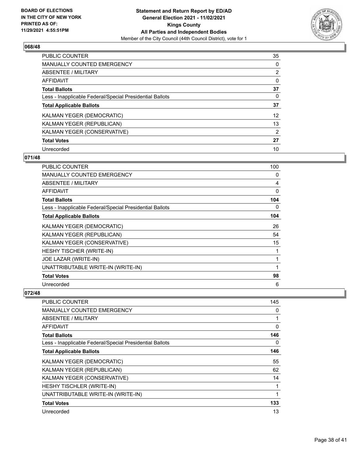

| <b>PUBLIC COUNTER</b>                                    | 35              |
|----------------------------------------------------------|-----------------|
| <b>MANUALLY COUNTED EMERGENCY</b>                        | 0               |
| ABSENTEE / MILITARY                                      | $\overline{2}$  |
| <b>AFFIDAVIT</b>                                         | 0               |
| <b>Total Ballots</b>                                     | 37              |
| Less - Inapplicable Federal/Special Presidential Ballots | 0               |
| <b>Total Applicable Ballots</b>                          | 37              |
| KALMAN YEGER (DEMOCRATIC)                                | 12 <sup>2</sup> |
| KALMAN YEGER (REPUBLICAN)                                | 13              |
| KALMAN YEGER (CONSERVATIVE)                              | 2               |
| <b>Total Votes</b>                                       | 27              |
| Unrecorded                                               | 10              |

#### **071/48**

| PUBLIC COUNTER                                           | 100 |
|----------------------------------------------------------|-----|
| MANUALLY COUNTED EMERGENCY                               | 0   |
| ABSENTEE / MILITARY                                      | 4   |
| AFFIDAVIT                                                | 0   |
| <b>Total Ballots</b>                                     | 104 |
| Less - Inapplicable Federal/Special Presidential Ballots | 0   |
| <b>Total Applicable Ballots</b>                          | 104 |
| KALMAN YEGER (DEMOCRATIC)                                | 26  |
| KALMAN YEGER (REPUBLICAN)                                | 54  |
| KALMAN YEGER (CONSERVATIVE)                              | 15  |
| <b>HESHY TISCHER (WRITE-IN)</b>                          | 1   |
| JOE LAZAR (WRITE-IN)                                     | 1   |
| UNATTRIBUTABLE WRITE-IN (WRITE-IN)                       | 1   |
| <b>Total Votes</b>                                       | 98  |
| Unrecorded                                               | 6   |

| <b>PUBLIC COUNTER</b>                                    | 145 |
|----------------------------------------------------------|-----|
| MANUALLY COUNTED EMERGENCY                               | 0   |
| ABSENTEE / MILITARY                                      |     |
| <b>AFFIDAVIT</b>                                         | 0   |
| <b>Total Ballots</b>                                     | 146 |
| Less - Inapplicable Federal/Special Presidential Ballots | 0   |
| <b>Total Applicable Ballots</b>                          | 146 |
| KALMAN YEGER (DEMOCRATIC)                                | 55  |
| KALMAN YEGER (REPUBLICAN)                                | 62  |
| KALMAN YEGER (CONSERVATIVE)                              | 14  |
| <b>HESHY TISCHLER (WRITE-IN)</b>                         | 1   |
| UNATTRIBUTABLE WRITE-IN (WRITE-IN)                       |     |
| <b>Total Votes</b>                                       | 133 |
| Unrecorded                                               | 13  |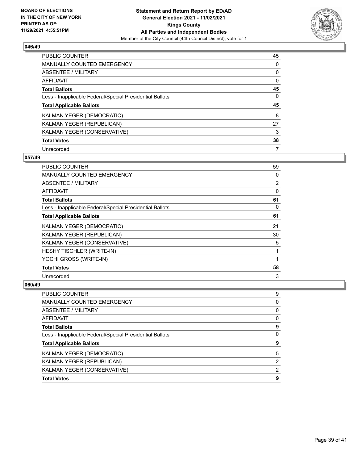

| <b>PUBLIC COUNTER</b>                                    | 45 |
|----------------------------------------------------------|----|
| <b>MANUALLY COUNTED EMERGENCY</b>                        | 0  |
| ABSENTEE / MILITARY                                      | 0  |
| <b>AFFIDAVIT</b>                                         | 0  |
| <b>Total Ballots</b>                                     | 45 |
| Less - Inapplicable Federal/Special Presidential Ballots | 0  |
|                                                          |    |
| <b>Total Applicable Ballots</b>                          | 45 |
| KALMAN YEGER (DEMOCRATIC)                                | 8  |
| KALMAN YEGER (REPUBLICAN)                                | 27 |
| KALMAN YEGER (CONSERVATIVE)                              | 3  |
| <b>Total Votes</b>                                       | 38 |

#### **057/49**

| <b>PUBLIC COUNTER</b>                                    | 59       |
|----------------------------------------------------------|----------|
| MANUALLY COUNTED EMERGENCY                               | 0        |
| ABSENTEE / MILITARY                                      | 2        |
| <b>AFFIDAVIT</b>                                         | $\Omega$ |
| <b>Total Ballots</b>                                     | 61       |
| Less - Inapplicable Federal/Special Presidential Ballots | 0        |
| <b>Total Applicable Ballots</b>                          | 61       |
| KALMAN YEGER (DEMOCRATIC)                                | 21       |
| KALMAN YEGER (REPUBLICAN)                                | 30       |
| KALMAN YEGER (CONSERVATIVE)                              | 5        |
| HESHY TISCHLER (WRITE-IN)                                | 1        |
| YOCHI GROSS (WRITE-IN)                                   | 1        |
| <b>Total Votes</b>                                       | 58       |
| Unrecorded                                               | 3        |

| <b>PUBLIC COUNTER</b>                                    | 9 |
|----------------------------------------------------------|---|
| <b>MANUALLY COUNTED EMERGENCY</b>                        | 0 |
| ABSENTEE / MILITARY                                      | 0 |
| AFFIDAVIT                                                | 0 |
| <b>Total Ballots</b>                                     | 9 |
| Less - Inapplicable Federal/Special Presidential Ballots | 0 |
| <b>Total Applicable Ballots</b>                          | 9 |
| KALMAN YEGER (DEMOCRATIC)                                | 5 |
| KALMAN YEGER (REPUBLICAN)                                | 2 |
| KALMAN YEGER (CONSERVATIVE)                              | 2 |
| <b>Total Votes</b>                                       | 9 |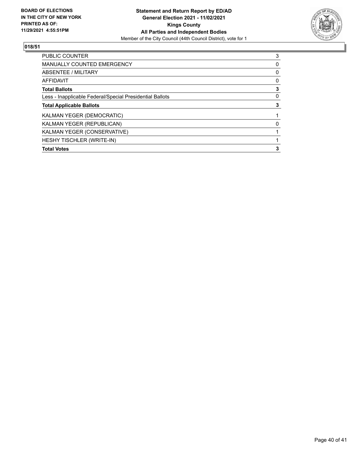

| <b>PUBLIC COUNTER</b>                                    | 3 |
|----------------------------------------------------------|---|
| <b>MANUALLY COUNTED EMERGENCY</b>                        | 0 |
| ABSENTEE / MILITARY                                      | 0 |
| AFFIDAVIT                                                | 0 |
| <b>Total Ballots</b>                                     | 3 |
| Less - Inapplicable Federal/Special Presidential Ballots | 0 |
| <b>Total Applicable Ballots</b>                          | 3 |
| KALMAN YEGER (DEMOCRATIC)                                |   |
| KALMAN YEGER (REPUBLICAN)                                | 0 |
| KALMAN YEGER (CONSERVATIVE)                              |   |
| HESHY TISCHLER (WRITE-IN)                                |   |
| <b>Total Votes</b>                                       | 3 |